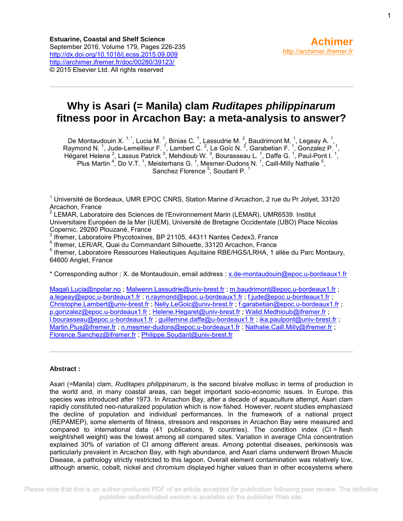# **Why is Asari (= Manila) clam** *Ruditapes philippinarum* **fitness poor in Arcachon Bay: a meta-analysis to answer?**

De Montaudouin X.  $1, 1, 1$ , Lucia M.  $1, 1$ , Binias C.  $1, 1$ , Lassudrie M.  $2, 2$ , Baudrimont M.  $1, 1$ , Legeay A.  $1, 1$ Raymond N.<sup>1</sup>, Jude-Lemeilleur F.<sup>1</sup>, Lambert C.<sup>2</sup>, Le Goïc N.<sup>2</sup>, Garabetian F.<sup>1</sup>, Gonzalez P.<sup>1</sup>, Hégaret Helene<sup>2</sup>, Lassus Patrick <sup>3</sup>, Mehdioub W. <sup>3</sup>, Bourasseau L. <sup>1</sup>, Daffe G. <sup>1</sup>, Paul-Pont I. <sup>1</sup>, Plus Martin<sup>4</sup>, Do V.T.<sup>1</sup>, Meisterhans G.<sup>1</sup>, Mesmer-Dudons N.<sup>1</sup>, Caill-Milly Nathalie<sup>5</sup>, Sanchez Florence  $5$ , Soudant P.  $1$ 

<sup>1</sup> Université de Bordeaux, UMR EPOC CNRS, Station Marine d'Arcachon, 2 rue du Pr Jolyet, 33120 Arcachon, France

<sup>2</sup> LEMAR, Laboratoire des Sciences de l'Environnement Marin (LEMAR), UMR6539. Institut Universitaire Européen de la Mer (IUEM), Université de Bretagne Occidentale (UBO) Place Nicolas Copernic, 29280 Plouzané, France

 $3$  Ifremer, Laboratoire Phycotoxines, BP 21105, 44311 Nantes Cedex3, France

4 Ifremer, LER/AR, Quai du Commandant Silhouette, 33120 Arcachon, France

<sup>5</sup> Ifremer, Laboratoire Ressources Halieutiques Aquitaine RBE/HGS/LRHA, 1 allée du Parc Montaury, 64600 Anglet, France

\* Corresponding author : X. de Montaudouin, email address : [x.de-montaudouin@epoc.u-bordeaux1.fr](mailto:x.de-montaudouin@epoc.u-bordeaux1.fr)

[Magali.Lucia@npolar.no](mailto:Magali.Lucia@npolar.no); [Malwenn.Lassudrie@univ-brest.fr](mailto:Malwenn.Lassudrie@univ-brest.fr); [m.baudrimont@epoc.u-bordeaux1.fr](mailto:m.baudrimont@epoc.u-bordeaux1.fr); [a.legeay@epoc.u-bordeaux1.fr](mailto:a.legeay@epoc.u-bordeaux1.fr) ; [n.raymond@epoc.u-bordeaux1.fr](mailto:n.raymond@epoc.u-bordeaux1.fr) ; [f.jude@epoc.u-bordeaux1.fr](mailto:f.jude@epoc.u-bordeaux1.fr) ; [Christophe.Lambert@univ-brest.fr](mailto:Christophe.Lambert@univ-brest.fr) [; Nelly.LeGoic@univ-brest.fr](mailto:Nelly.LeGoic@univ-brest.fr) ; [f.garabetian@epoc.u-bordeaux1.fr](mailto:f.garabetian@epoc.u-bordeaux1.fr) ; [p.gonzalez@epoc.u-bordeaux1.fr](mailto:p.gonzalez@epoc.u-bordeaux1.fr) ; [Helene.Hegaret@univ-brest.fr](mailto:Helene.Hegaret@univ-brest.fr) ; [Walid.Medhioub@ifremer.fr](mailto:Walid.Medhioub@ifremer.fr) ; [l.bourasseau@epoc.u-bordeaux1.fr](mailto:l.bourasseau@epoc.u-bordeaux1.fr) ; [guillemine.daffe@u-bordeaux1.fr](mailto:guillemine.daffe@u-bordeaux1.fr) ; [ika.paulpont@univ-brest.fr](mailto:ika.paulpont@univ-brest.fr) ; [Martin.Plus@ifremer.fr](mailto:Martin.Plus@ifremer.fr) ; [n.mesmer-dudons@epoc.u-bordeaux1.fr](mailto:n.mesmer-dudons@epoc.u-bordeaux1.fr) [; Nathalie.Caill.Milly@ifremer.fr](mailto:Nathalie.Caill.Milly@ifremer.fr) ; [Florence.Sanchez@ifremer.fr](mailto:Florence.Sanchez@ifremer.fr) [; Philippe.Soudant@univ-brest.fr](mailto:Philippe.Soudant@univ-brest.fr)

#### **Abstract :**

Asari (=Manila) clam, *Ruditapes philippinarum*, is the second bivalve mollusc in terms of production in the world and, in many coastal areas, can beget important socio-economic issues. In Europe, this species was introduced after 1973. In Arcachon Bay, after a decade of aquaculture attempt, Asari clam rapidly constituted neo-naturalized population which is now fished. However, recent studies emphasized the decline of population and individual performances. In the framework of a national project (REPAMEP), some elements of fitness, stressors and responses in Arcachon Bay were measured and compared to international data (41 publications, 9 countries). The condition index (CI = flesh weight/shell weight) was the lowest among all compared sites. Variation in average Chl*a* concentration explained 30% of variation of CI among different areas. Among potential diseases, perkinsosis was particularly prevalent in Arcachon Bay, with high abundance, and Asari clams underwent Brown Muscle Disease, a pathology strictly restricted to this lagoon. Overall element contamination was relatively low, although arsenic, cobalt, nickel and chromium displayed higher values than in other ecosystems where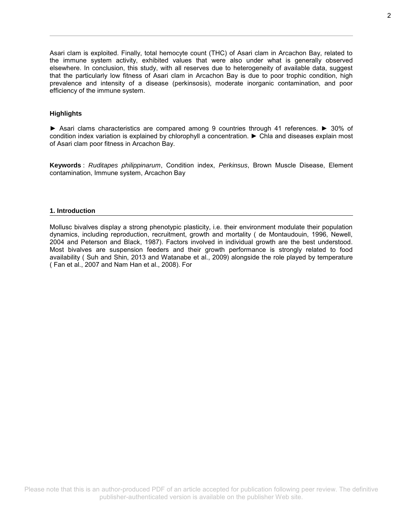Asari clam is exploited. Finally, total hemocyte count (THC) of Asari clam in Arcachon Bay, related to the immune system activity, exhibited values that were also under what is generally observed elsewhere. In conclusion, this study, with all reserves due to heterogeneity of available data, suggest that the particularly low fitness of Asari clam in Arcachon Bay is due to poor trophic condition, high prevalence and intensity of a disease (perkinsosis), moderate inorganic contamination, and poor efficiency of the immune system.

#### **Highlights**

► Asari clams characteristics are compared among 9 countries through 41 references. ► 30% of condition index variation is explained by chlorophyll a concentration. ► Chla and diseases explain most of Asari clam poor fitness in Arcachon Bay.

**Keywords** : *Ruditapes philippinarum*, Condition index, *Perkinsus*, Brown Muscle Disease, Element contamination, Immune system, Arcachon Bay

#### **1. Introduction**

Mollusc bivalves display a strong phenotypic plasticity, i.e. their environment modulate their population dynamics, including reproduction, recruitment, growth and mortality ( de Montaudouin, 1996, Newell, 2004 and Peterson and Black, 1987). Factors involved in individual growth are the best understood. Most bivalves are suspension feeders and their growth performance is strongly related to food availability ( Suh and Shin, 2013 and Watanabe et al., 2009) alongside the role played by temperature ( Fan et al., 2007 and Nam Han et al., 2008). For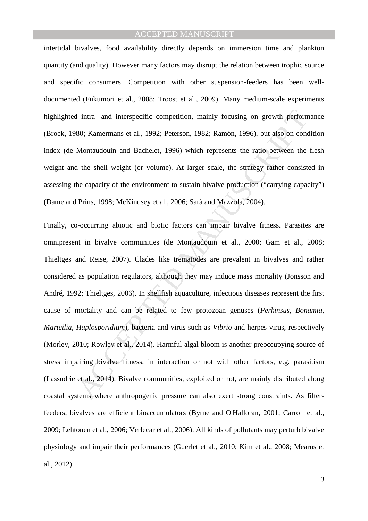intertidal bivalves, food availability directly depends on immersion time and plankton quantity (and quality). However many factors may disrupt the relation between trophic source and specific consumers. Competition with other suspension-feeders has been welldocumented (Fukumori et al., 2008; Troost et al., 2009). Many medium-scale experiments highlighted intra- and interspecific competition, mainly focusing on growth performance (Brock, 1980; Kamermans et al., 1992; Peterson, 1982; Ramón, 1996), but also on condition index (de Montaudouin and Bachelet, 1996) which represents the ratio between the flesh weight and the shell weight (or volume). At larger scale, the strategy rather consisted in assessing the capacity of the environment to sustain bivalve production ("carrying capacity") (Dame and Prins, 1998; McKindsey et al., 2006; Sarà and Mazzola, 2004).

I intra- and interspecific competition, mainly focusing on growth perform<br>80; Kamermans et al., 1992; Peterson, 1982; Ramón, 1996), but also on conc<br>Montaudouin and Bachelet, 1996) which represents the ratio between the<br>1 Finally, co-occurring abiotic and biotic factors can impair bivalve fitness. Parasites are omnipresent in bivalve communities (de Montaudouin et al., 2000; Gam et al., 2008; Thieltges and Reise, 2007). Clades like trematodes are prevalent in bivalves and rather considered as population regulators, although they may induce mass mortality (Jonsson and André, 1992; Thieltges, 2006). In shellfish aquaculture, infectious diseases represent the first cause of mortality and can be related to few protozoan genuses (*Perkinsus, Bonamia, Marteilia, Haplosporidium*), bacteria and virus such as *Vibrio* and herpes virus, respectively (Morley, 2010; Rowley et al., 2014). Harmful algal bloom is another preoccupying source of stress impairing bivalve fitness, in interaction or not with other factors, e.g. parasitism (Lassudrie et al., 2014). Bivalve communities, exploited or not, are mainly distributed along coastal systems where anthropogenic pressure can also exert strong constraints. As filterfeeders, bivalves are efficient bioaccumulators (Byrne and O'Halloran, 2001; Carroll et al., 2009; Lehtonen et al., 2006; Verlecar et al., 2006). All kinds of pollutants may perturb bivalve physiology and impair their performances (Guerlet et al., 2010; Kim et al., 2008; Mearns et al., 2012).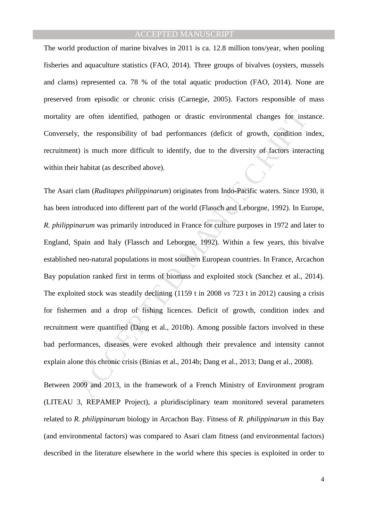The world production of marine bivalves in 2011 is ca. 12.8 million tons/year, when pooling fisheries and aquaculture statistics (FAO, 2014). Three groups of bivalves (oysters, mussels and clams) represented ca. 78 % of the total aquatic production (FAO, 2014). None are preserved from episodic or chronic crisis (Carnegie, 2005). Factors responsible of mass mortality are often identified, pathogen or drastic environmental changes for instance. Conversely, the responsibility of bad performances (deficit of growth, condition index, recruitment) is much more difficult to identify, due to the diversity of factors interacting within their habitat (as described above).

are often identified, pathogen or drastic environmental changes for inst<br>
7. the responsibility of bad performances (deficit of growth, condition is<br>
1) is much more difficult to identify, due to the diversity of factors i The Asari clam (*Ruditapes philippinarum*) originates from Indo-Pacific waters. Since 1930, it has been introduced into different part of the world (Flassch and Leborgne, 1992). In Europe, *R. philippinarum* was primarily introduced in France for culture purposes in 1972 and later to England, Spain and Italy (Flassch and Leborgne, 1992). Within a few years, this bivalve established neo-natural populations in most southern European countries. In France, Arcachon Bay population ranked first in terms of biomass and exploited stock (Sanchez et al., 2014). The exploited stock was steadily declining (1159 t in 2008 *vs* 723 t in 2012) causing a crisis for fishermen and a drop of fishing licences. Deficit of growth, condition index and recruitment were quantified (Dang et al., 2010b). Among possible factors involved in these bad performances, diseases were evoked although their prevalence and intensity cannot explain alone this chronic crisis (Binias et al., 2014b; Dang et al., 2013; Dang et al., 2008).

Between 2009 and 2013, in the framework of a French Ministry of Environment program (LITEAU 3, REPAMEP Project), a pluridisciplinary team monitored several parameters related to *R. philippinarum* biology in Arcachon Bay. Fitness of *R. philippinarum* in this Bay (and environmental factors) was compared to Asari clam fitness (and environmental factors) described in the literature elsewhere in the world where this species is exploited in order to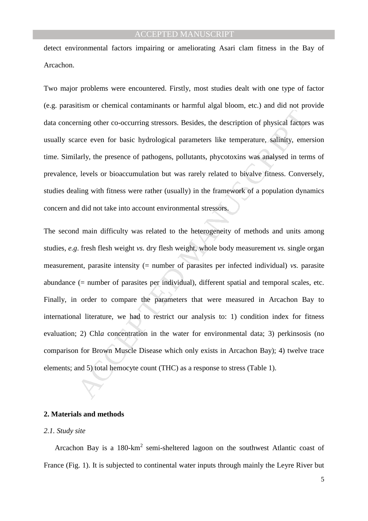detect environmental factors impairing or ameliorating Asari clam fitness in the Bay of Arcachon.

Two major problems were encountered. Firstly, most studies dealt with one type of factor (e.g. parasitism or chemical contaminants or harmful algal bloom, etc.) and did not provide data concerning other co-occurring stressors. Besides, the description of physical factors was usually scarce even for basic hydrological parameters like temperature, salinity, emersion time. Similarly, the presence of pathogens, pollutants, phycotoxins was analysed in terms of prevalence, levels or bioaccumulation but was rarely related to bivalve fitness. Conversely, studies dealing with fitness were rather (usually) in the framework of a population dynamics concern and did not take into account environmental stressors.

ming other co-occurring stressors. Besides, the description of physical factors<br>rece even for basic hydrological parameters like temperature, salinity, emerally, the presence of pathogens, pollutants, phycotoxins was anal The second main difficulty was related to the heterogeneity of methods and units among studies, *e.g*. fresh flesh weight *vs.* dry flesh weight, whole body measurement *vs.* single organ measurement, parasite intensity (= number of parasites per infected individual) *vs.* parasite abundance (= number of parasites per individual), different spatial and temporal scales, etc. Finally, in order to compare the parameters that were measured in Arcachon Bay to international literature, we had to restrict our analysis to: 1) condition index for fitness evaluation; 2) Chla concentration in the water for environmental data; 3) perkinsosis (no comparison for Brown Muscle Disease which only exists in Arcachon Bay); 4) twelve trace elements; and 5) total hemocyte count (THC) as a response to stress (Table 1).

### **2. Materials and methods**

#### *2.1. Study site*

Arcachon Bay is a 180-km<sup>2</sup> semi-sheltered lagoon on the southwest Atlantic coast of France (Fig. 1). It is subjected to continental water inputs through mainly the Leyre River but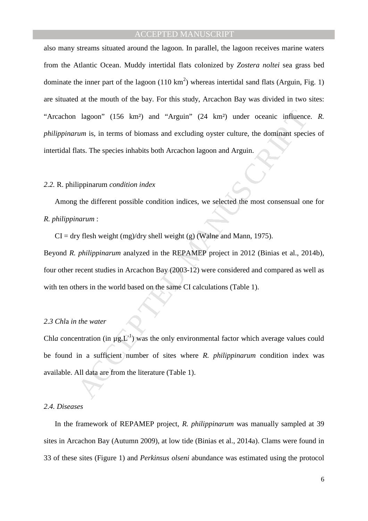lagoon" (156 km<sup>2</sup>) and "Arguin" (24 km<sup>2</sup>) under oceanic influence<br>
um is, in terms of biomass and excluding oyster culture, the dominant speci<br>
ats. The species inhabits both Arcachon lagoon and Arguin.<br>
ippinarum *cond* also many streams situated around the lagoon. In parallel, the lagoon receives marine waters from the Atlantic Ocean. Muddy intertidal flats colonized by *Zostera noltei* sea grass bed dominate the inner part of the lagoon  $(110 \text{ km}^2)$  whereas intertidal sand flats (Arguin, Fig. 1) are situated at the mouth of the bay. For this study, Arcachon Bay was divided in two sites: "Arcachon lagoon" (156 km²) and "Arguin" (24 km²) under oceanic influence. *R. philippinarum* is, in terms of biomass and excluding oyster culture, the dominant species of intertidal flats. The species inhabits both Arcachon lagoon and Arguin.

#### *2.2.* R. philippinarum *condition index*

Among the different possible condition indices, we selected the most consensual one for *R. philippinarum* :

 $CI = dry$  flesh weight (mg)/dry shell weight (g) (Walne and Mann, 1975).

Beyond *R. philippinarum* analyzed in the REPAMEP project in 2012 (Binias et al., 2014b), four other recent studies in Arcachon Bay (2003-12) were considered and compared as well as with ten others in the world based on the same CI calculations (Table 1).

## *2.3 Chl*a *in the water*

Chl*a* concentration (in  $\mu$ g.L<sup>-1</sup>) was the only environmental factor which average values could be found in a sufficient number of sites where *R. philippinarum* condition index was available. All data are from the literature (Table 1).

#### *2.4. Diseases*

In the framework of REPAMEP project, *R. philippinarum* was manually sampled at 39 sites in Arcachon Bay (Autumn 2009), at low tide (Binias et al., 2014a). Clams were found in 33 of these sites (Figure 1) and *Perkinsus olseni* abundance was estimated using the protocol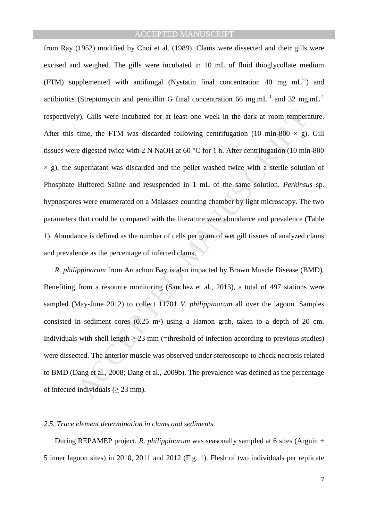y). Gills were incubated for at least one week in the dark at room temperatime, the FTM was discarded following centrifugation (10 min-800  $\times$  g). edigested twice with 2 N NaOH at 60 °C for 1 h. After centrifugation (10 from Ray (1952) modified by Choi et al. (1989). Clams were dissected and their gills were excised and weighed. The gills were incubated in 10 mL of fluid thioglycollate medium (FTM) supplemented with antifungal (Nystatin final concentration 40 mg  $mL^{-1}$ ) and antibiotics (Streptomycin and penicillin G final concentration 66 mg.mL $^{-1}$  and 32 mg.mL $^{-1}$ respectively). Gills were incubated for at least one week in the dark at room temperature. After this time, the FTM was discarded following centrifugation (10 min-800  $\times$  g). Gill tissues were digested twice with 2 N NaOH at 60 °C for 1 h. After centrifugation (10 min-800  $\times$  g), the supernatant was discarded and the pellet washed twice with a sterile solution of Phosphate Buffered Saline and resuspended in 1 mL of the same solution. *Perkinsus* sp. hypnospores were enumerated on a Malassez counting chamber by light microscopy. The two parameters that could be compared with the literature were abundance and prevalence (Table 1). Abundance is defined as the number of cells per gram of wet gill tissues of analyzed clams and prevalence as the percentage of infected clams.

*R. philippinarum* from Arcachon Bay is also impacted by Brown Muscle Disease (BMD). Benefiting from a resource monitoring (Sanchez et al., 2013), a total of 497 stations were sampled (May-June 2012) to collect 11701 *V. philippinarum* all over the lagoon. Samples consisted in sediment cores (0.25 m²) using a Hamon grab, taken to a depth of 20 cm. Individuals with shell length  $\geq$  23 mm (=threshold of infection according to previous studies) were dissected. The anterior muscle was observed under stereoscope to check necrosis related to BMD (Dang et al., 2008; Dang et al., 2009b). The prevalence was defined as the percentage of infected individuals  $(> 23$  mm).

#### *2.5. Trace element determination in clams and sediments*

During REPAMEP project, *R. philippinarum* was seasonally sampled at 6 sites (Arguin + 5 inner lagoon sites) in 2010, 2011 and 2012 (Fig. 1). Flesh of two individuals per replicate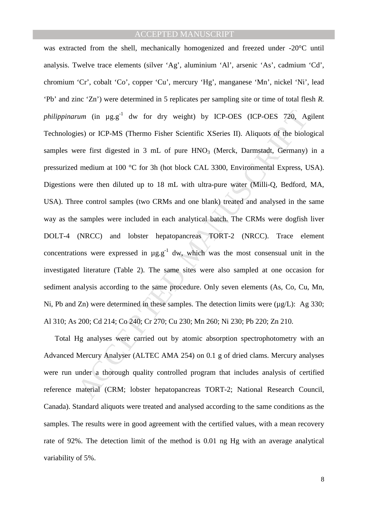*um* (in µg<sub>2</sub><sup>+1</sup> dw for dry weight) by ICP-OES (ICP-OES 720, A<sub>1</sub><br>ies) or ICP-MS (Thermo Fisher Scientific XSeries II). Aliquots of the biolc<br>ere first digested in 3 mL of pure HNO<sub>3</sub> (Merck, Darmstadt, Germany)<br>medium was extracted from the shell, mechanically homogenized and freezed under -20°C until analysis. Twelve trace elements (silver 'Ag', aluminium 'Al', arsenic 'As', cadmium 'Cd', chromium 'Cr', cobalt 'Co', copper 'Cu', mercury 'Hg', manganese 'Mn', nickel 'Ni', lead 'Pb' and zinc 'Zn') were determined in 5 replicates per sampling site or time of total flesh *R. philippinarum* (in  $\mu$ g.g<sup>-1</sup> dw for dry weight) by ICP-OES (ICP-OES 720, Agilent Technologies) or ICP-MS (Thermo Fisher Scientific XSeries II). Aliquots of the biological samples were first digested in 3 mL of pure  $HNO<sub>3</sub>$  (Merck, Darmstadt, Germany) in a pressurized medium at 100 °C for 3h (hot block CAL 3300, Environmental Express, USA). Digestions were then diluted up to 18 mL with ultra-pure water (Milli-Q, Bedford, MA, USA). Three control samples (two CRMs and one blank) treated and analysed in the same way as the samples were included in each analytical batch. The CRMs were dogfish liver DOLT-4 (NRCC) and lobster hepatopancreas TORT-2 (NRCC). Trace element concentrations were expressed in  $\mu$ g.g<sup>-1</sup> dw, which was the most consensual unit in the investigated literature (Table 2). The same sites were also sampled at one occasion for sediment analysis according to the same procedure. Only seven elements (As, Co, Cu, Mn, Ni, Pb and Zn) were determined in these samples. The detection limits were ( $\mu$ g/L): Ag 330; Al 310; As 200; Cd 214; Co 240; Cr 270; Cu 230; Mn 260; Ni 230; Pb 220; Zn 210.

Total Hg analyses were carried out by atomic absorption spectrophotometry with an Advanced Mercury Analyser (ALTEC AMA 254) on 0.1 g of dried clams. Mercury analyses were run under a thorough quality controlled program that includes analysis of certified reference material (CRM; lobster hepatopancreas TORT-2; National Research Council, Canada). Standard aliquots were treated and analysed according to the same conditions as the samples. The results were in good agreement with the certified values, with a mean recovery rate of 92%. The detection limit of the method is 0.01 ng Hg with an average analytical variability of 5%.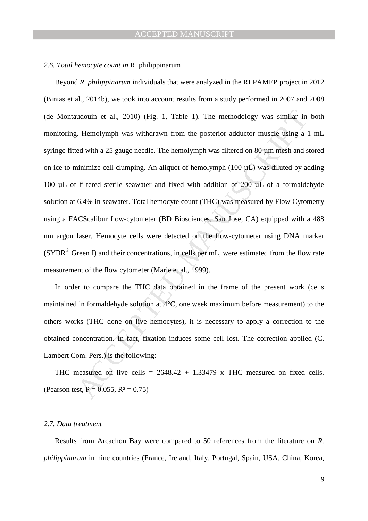#### *2.6. Total hemocyte count in* R. philippinarum

udouin et al., 2010) (Fig. 1, Table 1). The methodology was similar in<br>
1. Hemolymph was withdrawn from the posterior adductor muscle using a<br>
2. Hemolymph was withdrawn from the posterior adductor muscle using a<br>
ad with Beyond *R. philippinarum* individuals that were analyzed in the REPAMEP project in 2012 (Binias et al., 2014b), we took into account results from a study performed in 2007 and 2008 (de Montaudouin et al., 2010) (Fig. 1, Table 1). The methodology was similar in both monitoring. Hemolymph was withdrawn from the posterior adductor muscle using a 1 mL syringe fitted with a 25 gauge needle. The hemolymph was filtered on 80  $\mu$ m mesh and stored on ice to minimize cell clumping. An aliquot of hemolymph (100 µL) was diluted by adding 100  $\mu$ L of filtered sterile seawater and fixed with addition of 200  $\mu$ L of a formaldehyde solution at 6.4% in seawater. Total hemocyte count (THC) was measured by Flow Cytometry using a FACScalibur flow-cytometer (BD Biosciences, San Jose, CA) equipped with a 488 nm argon laser. Hemocyte cells were detected on the flow-cytometer using DNA marker (SYBR® Green I) and their concentrations, in cells per mL, were estimated from the flow rate measurement of the flow cytometer (Marie et al., 1999).

In order to compare the THC data obtained in the frame of the present work (cells maintained in formaldehyde solution at 4°C, one week maximum before measurement) to the others works (THC done on live hemocytes), it is necessary to apply a correction to the obtained concentration. In fact, fixation induces some cell lost. The correction applied (C. Lambert Com. Pers.) is the following:

THC measured on live cells =  $2648.42 + 1.33479$  x THC measured on fixed cells. (Pearson test,  $P = 0.055$ ,  $R^2 = 0.75$ )

#### *2.7. Data treatment*

Results from Arcachon Bay were compared to 50 references from the literature on *R. philippinarum* in nine countries (France, Ireland, Italy, Portugal, Spain, USA, China, Korea,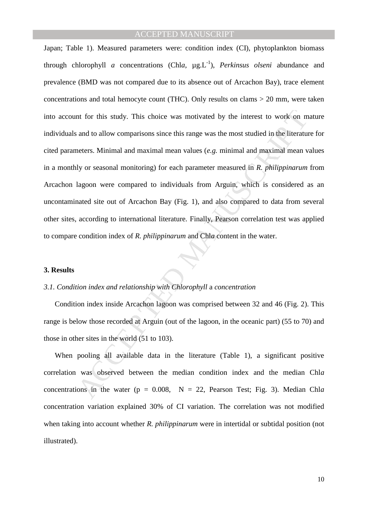Interior for this study. This choice was motivated by the interest to work on m<br>and to allow comparisons since this range was the most studied in the literature<br>ters. Minimal and maximal mean values (*e.g.* minimal and ma Japan; Table 1). Measured parameters were: condition index (CI), phytoplankton biomass through chlorophyll *a* concentrations (Chl*a*,  $\mu$ g.L<sup>-1</sup>), *Perkinsus olseni* abundance and prevalence (BMD was not compared due to its absence out of Arcachon Bay), trace element concentrations and total hemocyte count (THC). Only results on clams > 20 mm, were taken into account for this study. This choice was motivated by the interest to work on mature individuals and to allow comparisons since this range was the most studied in the literature for cited parameters. Minimal and maximal mean values (*e.g.* minimal and maximal mean values in a monthly or seasonal monitoring) for each parameter measured in *R. philippinarum* from Arcachon lagoon were compared to individuals from Arguin, which is considered as an uncontaminated site out of Arcachon Bay (Fig. 1), and also compared to data from several other sites, according to international literature. Finally, Pearson correlation test was applied to compare condition index of *R. philippinarum* and Chl*a* content in the water.

#### **3. Results**

#### *3.1. Condition index and relationship with Chlorophyll* a *concentration*

Condition index inside Arcachon lagoon was comprised between 32 and 46 (Fig. 2). This range is below those recorded at Arguin (out of the lagoon, in the oceanic part) (55 to 70) and those in other sites in the world (51 to 103).

When pooling all available data in the literature (Table 1), a significant positive correlation was observed between the median condition index and the median Chl*a* concentrations in the water ( $p = 0.008$ ,  $N = 22$ , Pearson Test; Fig. 3). Median Chla concentration variation explained 30% of CI variation. The correlation was not modified when taking into account whether *R. philippinarum* were in intertidal or subtidal position (not illustrated).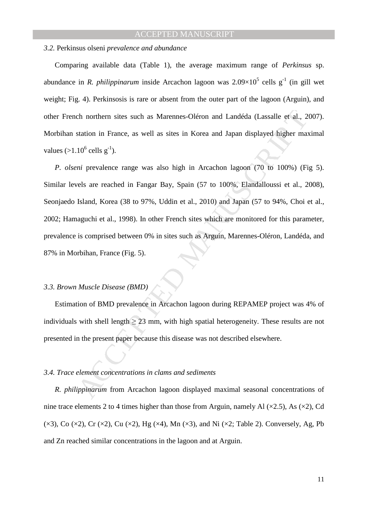#### *3.2.* Perkinsus olseni *prevalence and abundance*

Comparing available data (Table 1), the average maximum range of *Perkinsus* sp. abundance in *R. philippinarum* inside Arcachon lagoon was  $2.09 \times 10^5$  cells g<sup>-1</sup> (in gill wet weight; Fig. 4). Perkinsosis is rare or absent from the outer part of the lagoon (Arguin), and other French northern sites such as Marennes-Oléron and Landéda (Lassalle et al., 2007). Morbihan station in France, as well as sites in Korea and Japan displayed higher maximal values  $(>1.10^6 \text{ cells g}^{-1}).$ 

ch northern sites such as Marennes-Oléron and Landéda (Lassalle et al., 2<br>station in France, as well as sites in Korea and Japan displayed higher mat<br>10<sup>6</sup> cells g<sup>-1</sup>).<br>*ni* prevalence range was also high in Arcachon lag *P. olseni* prevalence range was also high in Arcachon lagoon (70 to 100%) (Fig 5). Similar levels are reached in Fangar Bay, Spain (57 to 100%, Elandalloussi et al., 2008), Seonjaedo Island, Korea (38 to 97%, Uddin et al., 2010) and Japan (57 to 94%, Choi et al., 2002; Hamaguchi et al., 1998). In other French sites which are monitored for this parameter, prevalence is comprised between 0% in sites such as Arguin, Marennes-Oléron, Landéda, and 87% in Morbihan, France (Fig. 5).

#### *3.3. Brown Muscle Disease (BMD)*

Estimation of BMD prevalence in Arcachon lagoon during REPAMEP project was 4% of individuals with shell length  $\geq$  23 mm, with high spatial heterogeneity. These results are not presented in the present paper because this disease was not described elsewhere.

#### *3.4. Trace element concentrations in clams and sediments*

*R. philippinarum* from Arcachon lagoon displayed maximal seasonal concentrations of nine trace elements 2 to 4 times higher than those from Arguin, namely Al  $(\times 2.5)$ , As  $(\times 2)$ , Cd  $(\times 3)$ , Co  $(\times 2)$ , Cr  $(\times 2)$ , Cu  $(\times 2)$ , Hg  $(\times 4)$ , Mn  $(\times 3)$ , and Ni  $(\times 2)$ ; Table 2). Conversely, Ag, Pb and Zn reached similar concentrations in the lagoon and at Arguin.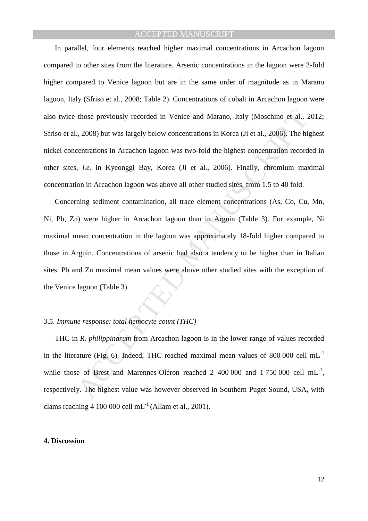In parallel, four elements reached higher maximal concentrations in Arcachon lagoon compared to other sites from the literature. Arsenic concentrations in the lagoon were 2-fold higher compared to Venice lagoon but are in the same order of magnitude as in Marano lagoon, Italy (Sfriso et al., 2008; Table 2). Concentrations of cobalt in Arcachon lagoon were also twice those previously recorded in Venice and Marano, Italy (Moschino et al., 2012; Sfriso et al., 2008) but was largely below concentrations in Korea (Ji et al., 2006). The highest nickel concentrations in Arcachon lagoon was two-fold the highest concentration recorded in other sites, *i.e.* in Kyeonggi Bay, Korea (Ji et al., 2006). Finally, chromium maximal concentration in Arcachon lagoon was above all other studied sites, from 1.5 to 40 fold.

those previously recorded in Venice and Marano, Italy (Moschino et al., 2008) but was largely below concentrations in Korea (Ji et al., 2006). The hierartations in Arcachon lagoon was two-fold the highest concentration rec Concerning sediment contamination, all trace element concentrations (As, Co, Cu, Mn, Ni, Pb, Zn) were higher in Arcachon lagoon than in Arguin (Table 3). For example, Ni maximal mean concentration in the lagoon was approximately 18-fold higher compared to those in Arguin. Concentrations of arsenic had also a tendency to be higher than in Italian sites. Pb and Zn maximal mean values were above other studied sites with the exception of the Venice lagoon (Table 3).

### *3.5. Immune response: total hemocyte count (THC)*

THC in *R. philippinarum* from Arcachon lagoon is in the lower range of values recorded in the literature (Fig. 6). Indeed, THC reached maximal mean values of 800 000 cell  $mL^{-1}$ while those of Brest and Marennes-Oléron reached 2 400 000 and 1 750 000 cell  $mL^{-1}$ , respectively. The highest value was however observed in Southern Puget Sound, USA, with clams reaching 4 100 000 cell  $mL^{-1}$  (Allam et al., 2001).

#### **4. Discussion**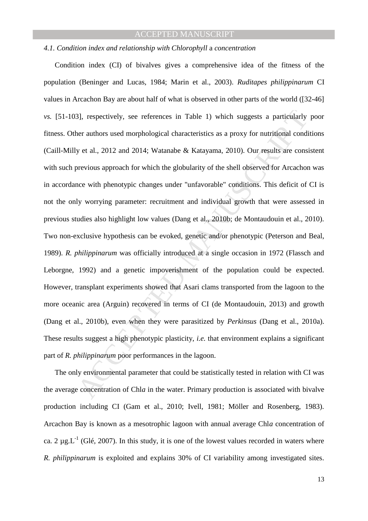### *4.1. Condition index and relationship with Chlorophyll* a *concentration*

3], respectively, see references in Table 1) which suggests a particularly<br>per authors used morphological characteristics as a proxy for nutritional condi<br>y et al., 2012 and 2014; Watanabe & Katayama, 2010). Our results a Condition index (CI) of bivalves gives a comprehensive idea of the fitness of the population (Beninger and Lucas, 1984; Marin et al., 2003). *Ruditapes philippinarum* CI values in Arcachon Bay are about half of what is observed in other parts of the world ([32-46] *vs.* [51-103], respectively, see references in Table 1) which suggests a particularly poor fitness. Other authors used morphological characteristics as a proxy for nutritional conditions (Caill-Milly et al., 2012 and 2014; Watanabe & Katayama, 2010). Our results are consistent with such previous approach for which the globularity of the shell observed for Arcachon was in accordance with phenotypic changes under "unfavorable" conditions. This deficit of CI is not the only worrying parameter: recruitment and individual growth that were assessed in previous studies also highlight low values (Dang et al., 2010b; de Montaudouin et al., 2010). Two non-exclusive hypothesis can be evoked, genetic and/or phenotypic (Peterson and Beal, 1989). *R. philippinarum* was officially introduced at a single occasion in 1972 (Flassch and Leborgne, 1992) and a genetic impoverishment of the population could be expected. However, transplant experiments showed that Asari clams transported from the lagoon to the more oceanic area (Arguin) recovered in terms of CI (de Montaudouin, 2013) and growth (Dang et al., 2010b), even when they were parasitized by *Perkinsus* (Dang et al., 2010a). These results suggest a high phenotypic plasticity, *i.e.* that environment explains a significant part of *R. philippinarum* poor performances in the lagoon.

The only environmental parameter that could be statistically tested in relation with CI was the average concentration of Chl*a* in the water. Primary production is associated with bivalve production including CI (Gam et al., 2010; Ivell, 1981; Möller and Rosenberg, 1983). Arcachon Bay is known as a mesotrophic lagoon with annual average Chl*a* concentration of ca. 2  $\mu$ g.L<sup>-1</sup> (Glé, 2007). In this study, it is one of the lowest values recorded in waters where *R. philippinarum* is exploited and explains 30% of CI variability among investigated sites.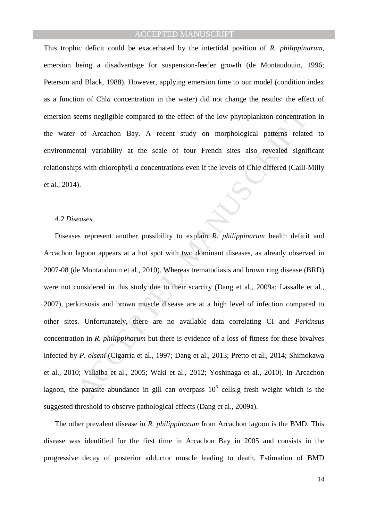This trophic deficit could be exacerbated by the intertidal position of *R. philippinarum,* emersion being a disadvantage for suspension-feeder growth (de Montaudouin, 1996; Peterson and Black, 1988). However, applying emersion time to our model (condition index as a function of Chl*a* concentration in the water) did not change the results: the effect of emersion seems negligible compared to the effect of the low phytoplankton concentration in the water of Arcachon Bay. A recent study on morphological patterns related to environmental variability at the scale of four French sites also revealed significant relationships with chlorophyll *a* concentrations even if the levels of Chl*a* differed (Caill-Milly et al., 2014).

#### *4.2 Diseases*

because the state of the low phytoplankton concentration<br>of Arcachon Bay. A recent study on morphological patterns relate<br>that variability at the scale of four French sites also revealed significant variability at the sca Diseases represent another possibility to explain *R. philippinarum* health deficit and Arcachon lagoon appears at a hot spot with two dominant diseases, as already observed in 2007-08 (de Montaudouin et al., 2010). Whereas trematodiasis and brown ring disease (BRD) were not considered in this study due to their scarcity (Dang et al., 2009a; Lassalle et al., 2007), perkinsosis and brown muscle disease are at a high level of infection compared to other sites. Unfortunately, there are no available data correlating CI and *Perkinsus* concentration in *R. philippinarum* but there is evidence of a loss of fitness for these bivalves infected by *P. olseni* (Cigarría et al., 1997; Dang et al., 2013; Pretto et al., 2014; Shimokawa et al., 2010; Villalba et al., 2005; Waki et al., 2012; Yoshinaga et al., 2010). In Arcachon lagoon, the parasite abundance in gill can overpass  $10<sup>5</sup>$  cells.g fresh weight which is the suggested threshold to observe pathological effects (Dang et al., 2009a).

The other prevalent disease in *R. philippinarum* from Arcachon lagoon is the BMD. This disease was identified for the first time in Arcachon Bay in 2005 and consists in the progressive decay of posterior adductor muscle leading to death. Estimation of BMD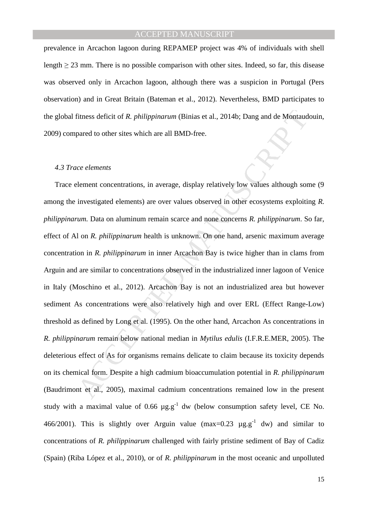prevalence in Arcachon lagoon during REPAMEP project was 4% of individuals with shell length  $\geq$  23 mm. There is no possible comparison with other sites. Indeed, so far, this disease was observed only in Arcachon lagoon, although there was a suspicion in Portugal (Pers observation) and in Great Britain (Bateman et al., 2012). Nevertheless, BMD participates to the global fitness deficit of *R. philippinarum* (Binias et al., 2014b; Dang and de Montaudouin, 2009) compared to other sites which are all BMD-free.

#### *4.3 Trace elements*

Transs deficit of *R. philippinarum* (Binias et al., 2014b; Dang and de Montaud<br>pared to other sites which are all BMD-free.<br>ce elements<br>sement concentrations, in average, display relatively low values although sor<br>investi Trace element concentrations, in average, display relatively low values although some (9 among the investigated elements) are over values observed in other ecosystems exploiting *R. philippinarum.* Data on aluminum remain scarce and none concerns *R. philippinarum*. So far, effect of Al on *R. philippinarum* health is unknown. On one hand, arsenic maximum average concentration in *R. philippinarum* in inner Arcachon Bay is twice higher than in clams from Arguin and are similar to concentrations observed in the industrialized inner lagoon of Venice in Italy (Moschino et al., 2012). Arcachon Bay is not an industrialized area but however sediment As concentrations were also relatively high and over ERL (Effect Range-Low) threshold as defined by Long et al. (1995). On the other hand, Arcachon As concentrations in *R. philippinarum* remain below national median in *Mytilus edulis* (I.F.R.E.MER, 2005). The deleterious effect of As for organisms remains delicate to claim because its toxicity depends on its chemical form. Despite a high cadmium bioaccumulation potential in *R. philippinarum* (Baudrimont et al., 2005), maximal cadmium concentrations remained low in the present study with a maximal value of 0.66  $\mu$ g.g<sup>-1</sup> dw (below consumption safety level, CE No. 466/2001). This is slightly over Arguin value  $(max=0.23 \text{ µg.g}^{-1}$  dw) and similar to concentrations of *R. philippinarum* challenged with fairly pristine sediment of Bay of Cadiz (Spain) (Riba López et al., 2010), or of *R. philippinarum* in the most oceanic and unpolluted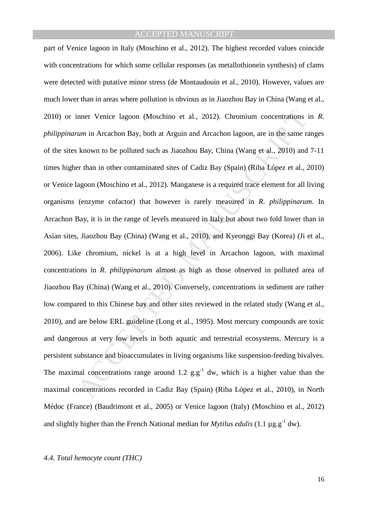inner Venice lagoon (Moschino et al., 2012). Chromium concentrations<br>
um in Arcachon Bay, both at Arguin and Arcachon lagoon, are in the same re<br>
known to be polluted such as Jiaozhou Bay, China (Wang et al., 2010) and<br>
a part of Venice lagoon in Italy (Moschino et al., 2012). The highest recorded values coincide with concentrations for which some cellular responses (as metallothionein synthesis) of clams were detected with putative minor stress (de Montaudouin et al., 2010). However, values are much lower than in areas where pollution is obvious as in Jiaozhou Bay in China (Wang et al., 2010) or inner Venice lagoon (Moschino et al., 2012). Chromium concentrations in *R. philippinarum* in Arcachon Bay, both at Arguin and Arcachon lagoon, are in the same ranges of the sites known to be polluted such as Jiaozhou Bay, China (Wang et al., 2010) and 7-11 times higher than in other contaminated sites of Cadiz Bay (Spain) (Riba López et al., 2010) or Venice lagoon (Moschino et al., 2012). Manganese is a required trace element for all living organisms (enzyme cofactor) that however is rarely measured in *R. philippinarum*. In Arcachon Bay, it is in the range of levels measured in Italy but about two fold lower than in Asian sites, Jiaozhou Bay (China) (Wang et al., 2010), and Kyeonggi Bay (Korea) (Ji et al., 2006). Like chromium, nickel is at a high level in Arcachon lagoon, with maximal concentrations in *R. philippinarum* almost as high as those observed in polluted area of Jiaozhou Bay (China) (Wang et al., 2010). Conversely, concentrations in sediment are rather low compared to this Chinese bay and other sites reviewed in the related study (Wang et al., 2010), and are below ERL guideline (Long et al., 1995). Most mercury compounds are toxic and dangerous at very low levels in both aquatic and terrestrial ecosystems. Mercury is a persistent substance and bioaccumulates in living organisms like suspension-feeding bivalves. The maximal concentrations range around 1.2  $g.g^{-1}$  dw, which is a higher value than the maximal concentrations recorded in Cadiz Bay (Spain) (Riba López et al., 2010), in North Médoc (France) (Baudrimont et al., 2005) or Venice lagoon (Italy) (Moschino et al., 2012) and slightly higher than the French National median for *Mytilus edulis* (1.1  $\mu$ g.g<sup>-1</sup> dw).

### *4.4. Total hemocyte count (THC)*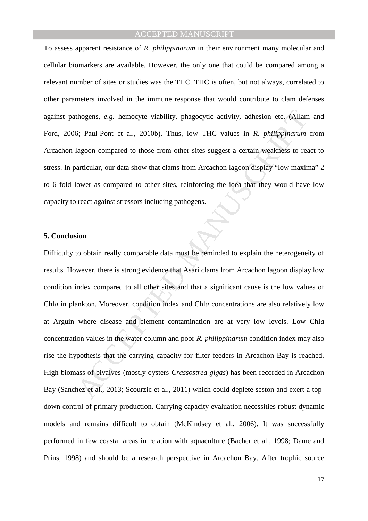To assess apparent resistance of *R. philippinarum* in their environment many molecular and cellular biomarkers are available. However, the only one that could be compared among a relevant number of sites or studies was the THC. THC is often, but not always, correlated to other parameters involved in the immune response that would contribute to clam defenses against pathogens, *e.g.* hemocyte viability, phagocytic activity, adhesion etc. (Allam and Ford, 2006; Paul-Pont et al., 2010b). Thus, low THC values in *R. philippinarum* from Arcachon lagoon compared to those from other sites suggest a certain weakness to react to stress. In particular, our data show that clams from Arcachon lagoon display "low maxima" 2 to 6 fold lower as compared to other sites, reinforcing the idea that they would have low capacity to react against stressors including pathogens.

#### **5. Conclusion**

thogens, *e.g.* hemocyte viability, phagocytic activity, adhesion etc. (Allam<br>5; Paul-Pont et al., 2010b). Thus, low THC values in *R. philippinarum*<br>agoon compared to those from other sites suggest a certain weakness to Difficulty to obtain really comparable data must be reminded to explain the heterogeneity of results. However, there is strong evidence that Asari clams from Arcachon lagoon display low condition index compared to all other sites and that a significant cause is the low values of Chl*a* in plankton. Moreover, condition index and Chl*a* concentrations are also relatively low at Arguin where disease and element contamination are at very low levels. Low Chl*a* concentration values in the water column and poor *R. philippinarum* condition index may also rise the hypothesis that the carrying capacity for filter feeders in Arcachon Bay is reached. High biomass of bivalves (mostly oysters *Crassostrea gigas*) has been recorded in Arcachon Bay (Sanchez et al., 2013; Scourzic et al., 2011) which could deplete seston and exert a topdown control of primary production. Carrying capacity evaluation necessities robust dynamic models and remains difficult to obtain (McKindsey et al., 2006). It was successfully performed in few coastal areas in relation with aquaculture (Bacher et al., 1998; Dame and Prins, 1998) and should be a research perspective in Arcachon Bay. After trophic source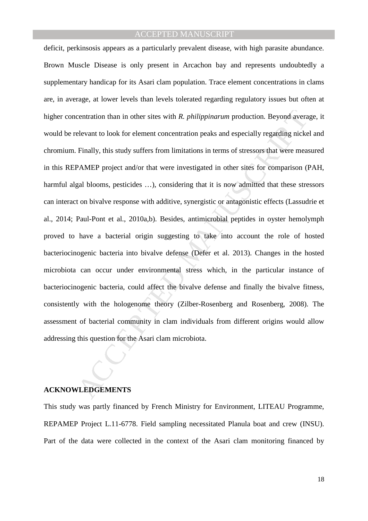centration than in other sites with *R. philippinarum* production. Beyond averable exant to look for element concentration peaks and especially regarding nicke<br>Finally, this study suffers from limitations in terms of stres deficit, perkinsosis appears as a particularly prevalent disease, with high parasite abundance. Brown Muscle Disease is only present in Arcachon bay and represents undoubtedly a supplementary handicap for its Asari clam population. Trace element concentrations in clams are, in average, at lower levels than levels tolerated regarding regulatory issues but often at higher concentration than in other sites with *R. philippinarum* production*.* Beyond average, it would be relevant to look for element concentration peaks and especially regarding nickel and chromium. Finally, this study suffers from limitations in terms of stressors that were measured in this REPAMEP project and/or that were investigated in other sites for comparison (PAH, harmful algal blooms, pesticides ...), considering that it is now admitted that these stressors can interact on bivalve response with additive, synergistic or antagonistic effects (Lassudrie et al., 2014; Paul-Pont et al., 2010a,b). Besides, antimicrobial peptides in oyster hemolymph proved to have a bacterial origin suggesting to take into account the role of hosted bacteriocinogenic bacteria into bivalve defense (Defer et al. 2013). Changes in the hosted microbiota can occur under environmental stress which, in the particular instance of bacteriocinogenic bacteria, could affect the bivalve defense and finally the bivalve fitness, consistently with the hologenome theory (Zilber-Rosenberg and Rosenberg, 2008). The assessment of bacterial community in clam individuals from different origins would allow addressing this question for the Asari clam microbiota.

### **ACKNOWLEDGEMENTS**

This study was partly financed by French Ministry for Environment, LITEAU Programme, REPAMEP Project L.11-6778. Field sampling necessitated Planula boat and crew (INSU). Part of the data were collected in the context of the Asari clam monitoring financed by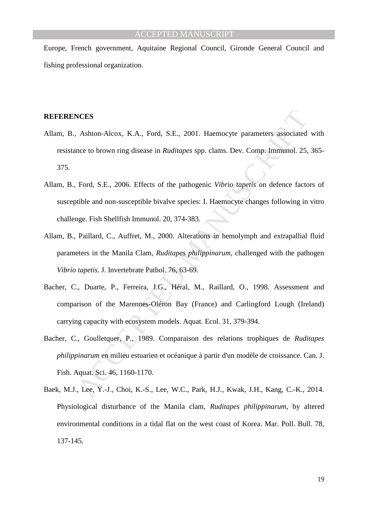Europe, French government, Aquitaine Regional Council, Gironde General Council and fishing professional organization.

#### **REFERENCES**

- Allam, B., Ashton-Alcox, K.A., Ford, S.E., 2001. Haemocyte parameters associated with resistance to brown ring disease in *Ruditapes* spp. clams. Dev. Comp. Immunol. 25, 365- 375.
- **Ashton-Alcox, K.A., Ford, S.E., 2001. Haemocyte parameters associated**<br>nee to brown ring disease in *Ruditapes* spp. clams. Dev. Comp. Immunol. 25,<br>Ford, S.E., 2006. Effects of the pathogenic *Vibrio tapetis* on defence f Allam, B., Ford, S.E., 2006. Effects of the pathogenic *Vibrio tapetis* on defence factors of susceptible and non-susceptible bivalve species: I. Haemocyte changes following in vitro challenge. Fish Shellfish Immunol. 20, 374-383.
- Allam, B., Paillard, C., Auffret, M., 2000. Alterations in hemolymph and extrapallial fluid parameters in the Manila Clam, *Ruditapes philippinarum*, challenged with the pathogen *Vibrio tapetis*. J. Invertebrate Pathol. 76, 63-69.
- Bacher, C., Duarte, P., Ferreira, J.G., Héral, M., Raillard, O., 1998. Assessment and comparison of the Marennes-Oléron Bay (France) and Carlingford Lough (Ireland) carrying capacity with ecosystem models. Aquat. Ecol. 31, 379-394.
- Bacher, C., Goulletquer, P., 1989. Comparaison des relations trophiques de *Ruditapes philippinarum* en milieu estuarien et océanique à partir d'un modèle de croissance. Can. J. Fish. Aquat. Sci. 46, 1160-1170.
- Baek, M.J., Lee, Y.-J., Choi, K.-S., Lee, W.C., Park, H.J., Kwak, J.H., Kang, C.-K., 2014. Physiological disturbance of the Manila clam, *Ruditapes philippinarum*, by altered environmental conditions in a tidal flat on the west coast of Korea. Mar. Poll. Bull. 78, 137-145.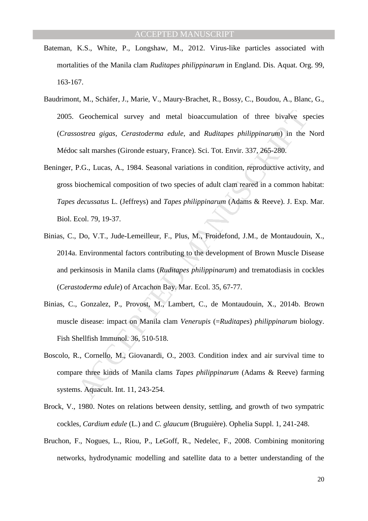- Bateman, K.S., White, P., Longshaw, M., 2012. Virus-like particles associated with mortalities of the Manila clam *Ruditapes philippinarum* in England. Dis. Aquat. Org. 99, 163-167.
- Baudrimont, M., Schäfer, J., Marie, V., Maury-Brachet, R., Bossy, C., Boudou, A., Blanc, G., 2005. Geochemical survey and metal bioaccumulation of three bivalve species (*Crassostrea gigas*, *Cerastoderma edule*, and *Ruditapes philippinarum*) in the Nord Médoc salt marshes (Gironde estuary, France). Sci. Tot. Envir. 337, 265-280.
- Geochennical survey and metal bioaccumulation of three bivalve sp<br>
ostrea gigas, Cerastoderma edule, and Ruditapes philippinarum) in the<br>
salt marshes (Gironde estuary, France). Sci. Tot. Envir. 337, 265-280.<br>
P.G., Lucas, Beninger, P.G., Lucas, A., 1984. Seasonal variations in condition, reproductive activity, and gross biochemical composition of two species of adult clam reared in a common habitat: *Tapes decussatus* L. (Jeffreys) and *Tapes philippinarum* (Adams & Reeve). J. Exp. Mar. Biol. Ecol. 79, 19-37.
- Binias, C., Do, V.T., Jude-Lemeilleur, F., Plus, M., Froidefond, J.M., de Montaudouin, X., 2014a. Environmental factors contributing to the development of Brown Muscle Disease and perkinsosis in Manila clams (*Ruditapes philippinarum*) and trematodiasis in cockles (*Cerastoderma edule*) of Arcachon Bay. Mar. Ecol. 35, 67-77.
- Binias, C., Gonzalez, P., Provost, M., Lambert, C., de Montaudouin, X., 2014b. Brown muscle disease: impact on Manila clam *Venerupis* (=*Ruditapes*) *philippinarum* biology. Fish Shellfish Immunol. 36, 510-518.
- Boscolo, R., Cornello, M., Giovanardi, O., 2003. Condition index and air survival time to compare three kinds of Manila clams *Tapes philippinarum* (Adams & Reeve) farming systems. Aquacult. Int. 11, 243-254.
- Brock, V., 1980. Notes on relations between density, settling, and growth of two sympatric cockles, *Cardium edule* (L.) and *C. glaucum* (Bruguière). Ophelia Suppl. 1, 241-248.
- Bruchon, F., Nogues, L., Riou, P., LeGoff, R., Nedelec, F., 2008. Combining monitoring networks, hydrodynamic modelling and satellite data to a better understanding of the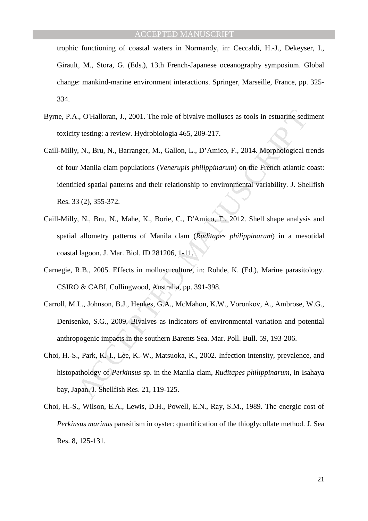trophic functioning of coastal waters in Normandy, in: Ceccaldi, H.-J., Dekeyser, I., Girault, M., Stora, G. (Eds.), 13th French-Japanese oceanography symposium. Global change: mankind-marine environment interactions. Springer, Marseille, France, pp. 325- 334.

- Byrne, P.A., O'Halloran, J., 2001. The role of bivalve molluscs as tools in estuarine sediment toxicity testing: a review. Hydrobiologia 465, 209-217.
- .., O'Halloran, J., 2001. The role of bivalve molluscs as tools in estuarine sediptions, and the verting: a review. Hydrobiologia 465, 209-217.<br>
N., Bru, N., Barranger, M., Gallon, L., D'Amico, F., 2014. Morphological to M Caill-Milly, N., Bru, N., Barranger, M., Gallon, L., D'Amico, F., 2014. Morphological trends of four Manila clam populations (*Venerupis philippinarum*) on the French atlantic coast: identified spatial patterns and their relationship to environmental variability. J. Shellfish Res. 33 (2), 355-372.
- Caill-Milly, N., Bru, N., Mahe, K., Borie, C., D'Amico, F., 2012. Shell shape analysis and spatial allometry patterns of Manila clam (*Ruditapes philippinarum*) in a mesotidal coastal lagoon. J. Mar. Biol. ID 281206, 1-11.
- Carnegie, R.B., 2005. Effects in mollusc culture, in: Rohde, K. (Ed.), Marine parasitology. CSIRO & CABI, Collingwood, Australia, pp. 391-398.
- Carroll, M.L., Johnson, B.J., Henkes, G.A., McMahon, K.W., Voronkov, A., Ambrose, W.G., Denisenko, S.G., 2009. Bivalves as indicators of environmental variation and potential anthropogenic impacts in the southern Barents Sea. Mar. Poll. Bull. 59, 193-206.
- Choi, H.-S., Park, K.-I., Lee, K.-W., Matsuoka, K., 2002. Infection intensity, prevalence, and histopathology of *Perkinsus* sp. in the Manila clam, *Ruditapes philippinarum*, in Isahaya bay, Japan. J. Shellfish Res. 21, 119-125.
- Choi, H.-S., Wilson, E.A., Lewis, D.H., Powell, E.N., Ray, S.M., 1989. The energic cost of *Perkinsus marinus* parasitism in oyster: quantification of the thioglycollate method. J. Sea Res. 8, 125-131.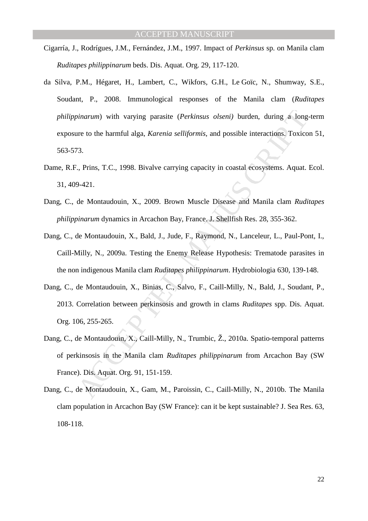- Cigarría, J., Rodrígues, J.M., Fernández, J.M., 1997. Impact of *Perkinsus* sp. on Manila clam *Ruditapes philippinarum* beds. Dis. Aquat. Org. 29, 117-120.
- *inarum*) with varying parasite (*Perkinsus olseni)* burden, during a long<br>tre to the harmful alga, *Karenia selliformis*, and possible interactions, Toxico<br>7.<br>7. Prins, T.C., 1998. Bivalve carrying capacity in coastal eco da Silva, P.M., Hégaret, H., Lambert, C., Wikfors, G.H., Le Goïc, N., Shumway, S.E., Soudant, P., 2008. Immunological responses of the Manila clam (*Ruditapes philippinarum*) with varying parasite (*Perkinsus olseni)* burden, during a long-term exposure to the harmful alga, *Karenia selliformis*, and possible interactions. Toxicon 51, 563-573.
- Dame, R.F., Prins, T.C., 1998. Bivalve carrying capacity in coastal ecosystems. Aquat. Ecol. 31, 409-421.
- Dang, C., de Montaudouin, X., 2009. Brown Muscle Disease and Manila clam *Ruditapes philippinarum* dynamics in Arcachon Bay, France. J. Shellfish Res. 28, 355-362.
- Dang, C., de Montaudouin, X., Bald, J., Jude, F., Raymond, N., Lanceleur, L., Paul-Pont, I., Caill-Milly, N., 2009a. Testing the Enemy Release Hypothesis: Trematode parasites in the non indigenous Manila clam *Ruditapes philippinarum*. Hydrobiologia 630, 139-148.
- Dang, C., de Montaudouin, X., Binias, C., Salvo, F., Caill-Milly, N., Bald, J., Soudant, P., 2013. Correlation between perkinsosis and growth in clams *Ruditapes* spp. Dis. Aquat. Org. 106, 255-265.
- Dang, C., de Montaudouin, X., Caill-Milly, N., Trumbic, Ž., 2010a. Spatio-temporal patterns of perkinsosis in the Manila clam *Ruditapes philippinarum* from Arcachon Bay (SW France). Dis. Aquat. Org. 91, 151-159.
- Dang, C., de Montaudouin, X., Gam, M., Paroissin, C., Caill-Milly, N., 2010b. The Manila clam population in Arcachon Bay (SW France): can it be kept sustainable? J. Sea Res. 63, 108-118.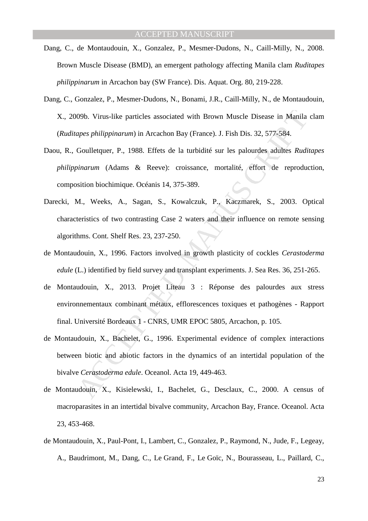- Dang, C., de Montaudouin, X., Gonzalez, P., Mesmer-Dudons, N., Caill-Milly, N., 2008. Brown Muscle Disease (BMD), an emergent pathology affecting Manila clam *Ruditapes philippinarum* in Arcachon bay (SW France). Dis. Aquat. Org. 80, 219-228.
- Dang, C., Gonzalez, P., Mesmer-Dudons, N., Bonami, J.R., Caill-Milly, N., de Montaudouin, X., 2009b. Virus-like particles associated with Brown Muscle Disease in Manila clam (*Ruditapes philippinarum*) in Arcachon Bay (France). J. Fish Dis. 32, 577-584.
- Daou, R., Goulletquer, P., 1988. Effets de la turbidité sur les palourdes adultes *Ruditapes philippinarum* (Adams & Reeve): croissance, mortalité, effort de reproduction, composition biochimique. Océanis 14, 375-389.
- 09b. Virus-like particles associated with Brown Muscle Disease in Manila<br>apes philippinarum) in Arcachon Bay (France). J. Fish Dis. 32, 577-584.<br>Goulletquer, P., 1988. Effets de la turbidité sur les palourdes adultes *Rudi* Darecki, M., Weeks, A., Sagan, S., Kowalczuk, P., Kaczmarek, S., 2003. Optical characteristics of two contrasting Case 2 waters and their influence on remote sensing algorithms. Cont. Shelf Res. 23, 237-250.
- de Montaudouin, X., 1996. Factors involved in growth plasticity of cockles *Cerastoderma edule* (L.) identified by field survey and transplant experiments. J. Sea Res. 36, 251-265.
- de Montaudouin, X., 2013. Projet Liteau 3 : Réponse des palourdes aux stress environnementaux combinant métaux, efflorescences toxiques et pathogènes - Rapport final. Université Bordeaux 1 - CNRS, UMR EPOC 5805, Arcachon, p. 105.
- de Montaudouin, X., Bachelet, G., 1996. Experimental evidence of complex interactions between biotic and abiotic factors in the dynamics of an intertidal population of the bivalve *Cerastoderma edule*. Oceanol. Acta 19, 449-463.
- de Montaudouin, X., Kisielewski, I., Bachelet, G., Desclaux, C., 2000. A census of macroparasites in an intertidal bivalve community, Arcachon Bay, France. Oceanol. Acta 23, 453-468.
- de Montaudouin, X., Paul-Pont, I., Lambert, C., Gonzalez, P., Raymond, N., Jude, F., Legeay, A., Baudrimont, M., Dang, C., Le Grand, F., Le Goïc, N., Bourasseau, L., Paillard, C.,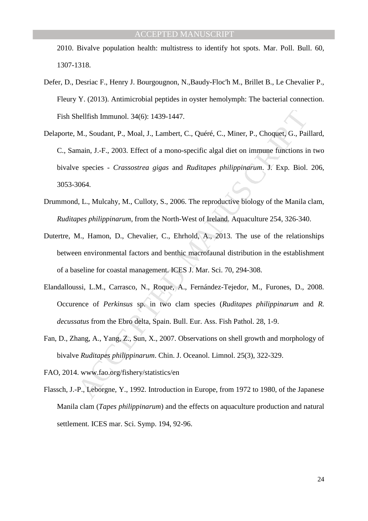2010. Bivalve population health: multistress to identify hot spots. Mar. Poll. Bull. 60, 1307-1318.

- Defer, D., Desriac F., Henry J. Bourgougnon, N.,Baudy-Floc'h M., Brillet B., Le Chevalier P., Fleury Y. (2013). Antimicrobial peptides in oyster hemolymph: The bacterial connection. Fish Shellfish Immunol. 34(6): 1439-1447.
- hellfish Immunol. 34(6): 1439-1447.<br>
M., Soudant, P., Moal, J., Lambert, C., Quéré, C., Miner, P., Choquet, G., Pai<br>
main, J.-F., 2003. Effect of a mono-specific algal diet on immune functions is<br>
species *Crassostrea gi* Delaporte, M., Soudant, P., Moal, J., Lambert, C., Quéré, C., Miner, P., Choquet, G., Paillard, C., Samain, J.-F., 2003. Effect of a mono-specific algal diet on immune functions in two bivalve species - *Crassostrea gigas* and *Ruditapes philippinarum*. J. Exp. Biol. 206, 3053-3064.
- Drummond, L., Mulcahy, M., Culloty, S., 2006. The reproductive biology of the Manila clam, *Ruditapes philippinarum*, from the North-West of Ireland. Aquaculture 254, 326-340.
- Dutertre, M., Hamon, D., Chevalier, C., Ehrhold, A., 2013. The use of the relationships between environmental factors and benthic macrofaunal distribution in the establishment of a baseline for coastal management. ICES J. Mar. Sci. 70, 294-308.
- Elandalloussi, L.M., Carrasco, N., Roque, A., Fernández-Tejedor, M., Furones, D., 2008. Occurence of *Perkinsus* sp. in two clam species (*Ruditapes philippinarum* and *R. decussatus* from the Ebro delta, Spain. Bull. Eur. Ass. Fish Pathol. 28, 1-9.
- Fan, D., Zhang, A., Yang, Z., Sun, X., 2007. Observations on shell growth and morphology of bivalve *Ruditapes philippinarum*. Chin. J. Oceanol. Limnol. 25(3), 322-329.
- FAO, 2014. www.fao.org/fishery/statistics/en
- Flassch, J.-P., Leborgne, Y., 1992. Introduction in Europe, from 1972 to 1980, of the Japanese Manila clam (*Tapes philippinarum*) and the effects on aquaculture production and natural settlement. ICES mar. Sci. Symp. 194, 92-96.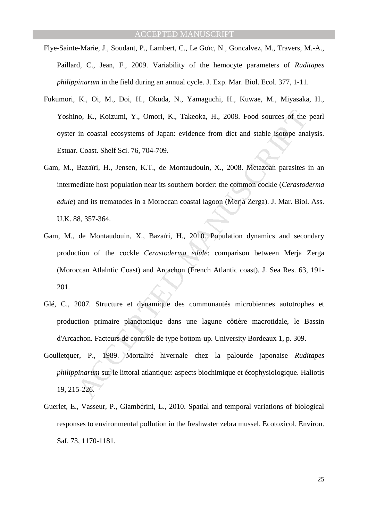- Flye-Sainte-Marie, J., Soudant, P., Lambert, C., Le Goïc, N., Goncalvez, M., Travers, M.-A., Paillard, C., Jean, F., 2009. Variability of the hemocyte parameters of *Ruditapes philippinarum* in the field during an annual cycle. J. Exp. Mar. Biol. Ecol. 377, 1-11.
- Fukumori, K., Oi, M., Doi, H., Okuda, N., Yamaguchi, H., Kuwae, M., Miyasaka, H., Yoshino, K., Koizumi, Y., Omori, K., Takeoka, H., 2008. Food sources of the pearl oyster in coastal ecosystems of Japan: evidence from diet and stable isotope analysis. Estuar. Coast. Shelf Sci. 76, 704-709.
- 10. K., Koizumi, Y., Omori, K., Takeoka, H., 2008. Food sources of the<br>in coastal ecosystems of Japan: evidence from diet and stable isotope ana<br>Coast. Shelf Sci. 76, 704-709.<br>Bazaïri, H., Jensen, K.T., de Montaudouin, X., Gam, M., Bazaïri, H., Jensen, K.T., de Montaudouin, X., 2008. Metazoan parasites in an intermediate host population near its southern border: the common cockle (*Cerastoderma edule*) and its trematodes in a Moroccan coastal lagoon (Merja Zerga). J. Mar. Biol. Ass. U.K. 88, 357-364.
- Gam, M., de Montaudouin, X., Bazaïri, H., 2010. Population dynamics and secondary production of the cockle *Cerastoderma edule*: comparison between Merja Zerga (Moroccan Atlalntic Coast) and Arcachon (French Atlantic coast). J. Sea Res. 63, 191- 201.
- Glé, C., 2007. Structure et dynamique des communautés microbiennes autotrophes et production primaire planctonique dans une lagune côtière macrotidale, le Bassin d'Arcachon. Facteurs de contrôle de type bottom-up. University Bordeaux 1, p. 309.
- Goulletquer, P., 1989. Mortalité hivernale chez la palourde japonaise *Ruditapes philippinarum* sur le littoral atlantique: aspects biochimique et écophysiologique. Haliotis 19, 215-226.
- Guerlet, E., Vasseur, P., Giambérini, L., 2010. Spatial and temporal variations of biological responses to environmental pollution in the freshwater zebra mussel. Ecotoxicol. Environ. Saf. 73, 1170-1181.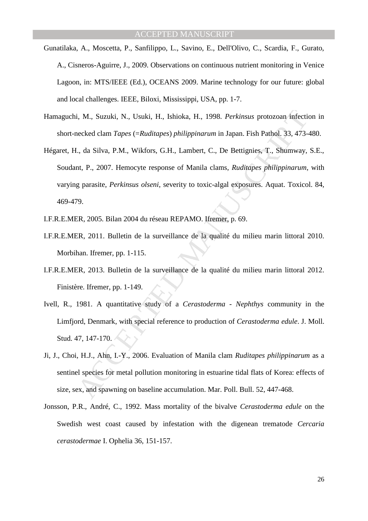- Gunatilaka, A., Moscetta, P., Sanfilippo, L., Savino, E., Dell'Olivo, C., Scardia, F., Gurato, A., Cisneros-Aguirre, J., 2009. Observations on continuous nutrient monitoring in Venice Lagoon, in: MTS/IEEE (Ed.), OCEANS 2009. Marine technology for our future: global and local challenges. IEEE, Biloxi, Mississippi, USA, pp. 1-7.
- Hamaguchi, M., Suzuki, N., Usuki, H., Ishioka, H., 1998. *Perkinsus* protozoan infection in short-necked clam *Tapes* (=*Ruditapes*) *philippinarum* in Japan. Fish Pathol. 33, 473-480.
- i, M., Suzuki, N., Usuki, H., Ishioka, H., 1998. *Perkinsus* protozoan infectiveded clam *Tapes* (=*Ruditapes*) philippinarum in Japan. Fish Pathol. 33, 473-, da Silva, P.M., Wikfors, G.H., Lambert, C., De Bettignies, T., Hégaret, H., da Silva, P.M., Wikfors, G.H., Lambert, C., De Bettignies, T., Shumway, S.E., Soudant, P., 2007. Hemocyte response of Manila clams, *Ruditapes philippinarum*, with varying parasite, *Perkinsus olseni*, severity to toxic-algal exposures. Aquat. Toxicol. 84, 469-479.
- I.F.R.E.MER, 2005. Bilan 2004 du réseau REPAMO. Ifremer, p. 69.
- I.F.R.E.MER, 2011. Bulletin de la surveillance de la qualité du milieu marin littoral 2010. Morbihan. Ifremer, pp. 1-115.
- I.F.R.E.MER, 2013. Bulletin de la surveillance de la qualité du milieu marin littoral 2012. Finistère. Ifremer, pp. 1-149.
- Ivell, R., 1981. A quantitative study of a *Cerastoderma Nephthys* community in the Limfjord, Denmark, with special reference to production of *Cerastoderma edule*. J. Moll. Stud. 47, 147-170.
- Ji, J., Choi, H.J., Ahn, I.-Y., 2006. Evaluation of Manila clam *Ruditapes philippinarum* as a sentinel species for metal pollution monitoring in estuarine tidal flats of Korea: effects of size, sex, and spawning on baseline accumulation. Mar. Poll. Bull. 52, 447-468.
- Jonsson, P.R., André, C., 1992. Mass mortality of the bivalve *Cerastoderma edule* on the Swedish west coast caused by infestation with the digenean trematode *Cercaria cerastodermae* I. Ophelia 36, 151-157.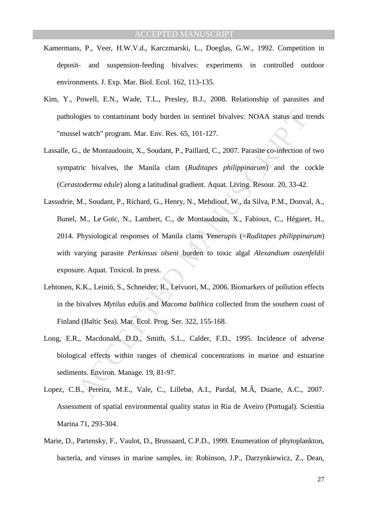- Kamermans, P., Veer, H.W.V.d., Karczmarski, L., Doeglas, G.W., 1992. Competition in deposit- and suspension-feeding bivalves: experiments in controlled outdoor environments. J. Exp. Mar. Biol. Ecol. 162, 113-135.
- Kim, Y., Powell, E.N., Wade, T.L., Presley, B.J., 2008. Relationship of parasites and pathologies to contaminant body burden in sentinel bivalves: NOAA status and trends "mussel watch" program. Mar. Env. Res. 65, 101-127.
- Lassalle, G., de Montaudouin, X., Soudant, P., Paillard, C., 2007. Parasite co-infection of two sympatric bivalves, the Manila clam (*Ruditapes philippinarum*) and the cockle (*Cerastoderma edule*) along a latitudinal gradient. Aquat. Living. Resour. 20, 33-42.
- ogies to contaminant body burden in sentinel bivalves: NOAA status and tel watch" program. Mar. Env. Res. 65, 101-127.<br>
i., de Montaudouin, X., Soudant, P., Paillard, C., 2007. Parasite co-infection of tric bivalves, the M Lassudrie, M., Soudant, P., Richard, G., Henry, N., Mehdiouf, W., da Silva, P.M., Donval, A., Bunel, M., Le Goïc, N., Lambert, C., de Montaudouin, X., Fabioux, C., Hégaret, H., 2014. Physiological responses of Manila clams *Venerupis* (=*Ruditapes philippinarum*) with varying parasite *Perkinsus olseni* burden to toxic algal *Alexandium ostenfeldii*  exposure. Aquat. Toxicol. In press.
- Lehtonen, K.K., Leiniö, S., Schneider, R., Leivuori, M., 2006. Biomarkers of pollution effects in the bivalves *Mytilus edulis* and *Macoma balthica* collected from the southern coast of Finland (Baltic Sea). Mar. Ecol. Prog. Ser. 322, 155-168.
- Long, E.R., Macdonald, D.D., Smith, S.L., Calder, F.D., 1995. Incidence of adverse biological effects within ranges of chemical concentrations in marine and estuarine sediments. Environ. Manage. 19, 81-97.
- Lopez, C.B., Pereira, M.E., Vale, C., Lillebø, A.I., Pardal, M.Â, Duarte, A.C., 2007. Assessment of spatial environmental quality status in Ria de Aveiro (Portugal). Scientia Marina 71, 293-304.
- Marie, D., Partensky, F., Vaulot, D., Brussaard, C.P.D., 1999. Enumeration of phytoplankton, bacteria, and viruses in marine samples, in: Robinson, J.P., Darzynkiewicz, Z., Dean,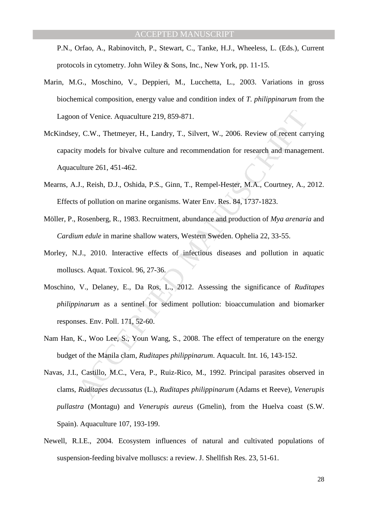P.N., Orfao, A., Rabinovitch, P., Stewart, C., Tanke, H.J., Wheeless, L. (Eds.), Current protocols in cytometry. John Wiley & Sons, Inc., New York, pp. 11-15.

- Marin, M.G., Moschino, V., Deppieri, M., Lucchetta, L., 2003. Variations in gross biochemical composition, energy value and condition index of *T. philippinarum* from the Lagoon of Venice. Aquaculture 219, 859-871.
- n of Venice. Aquaculture 219, 859-871.<br>
F, C.W., Thetmeyer, H., Landry, T., Silvert, W., 2006. Review of recent car<br>
ty models for bivalve culture and recommendation for research and manage<br>
ulture 261, 451-462.<br>
J., Reish McKindsey, C.W., Thetmeyer, H., Landry, T., Silvert, W., 2006. Review of recent carrying capacity models for bivalve culture and recommendation for research and management. Aquaculture 261, 451-462.
- Mearns, A.J., Reish, D.J., Oshida, P.S., Ginn, T., Rempel-Hester, M.A., Courtney, A., 2012. Effects of pollution on marine organisms. Water Env. Res. 84, 1737-1823.
- Möller, P., Rosenberg, R., 1983. Recruitment, abundance and production of *Mya arenaria* and *Cardium edule* in marine shallow waters, Western Sweden. Ophelia 22, 33-55.
- Morley, N.J., 2010. Interactive effects of infectious diseases and pollution in aquatic molluscs. Aquat. Toxicol. 96, 27-36.
- Moschino, V., Delaney, E., Da Ros, L., 2012. Assessing the significance of *Ruditapes philippinarum* as a sentinel for sediment pollution: bioaccumulation and biomarker responses. Env. Poll. 171, 52-60.
- Nam Han, K., Woo Lee, S., Youn Wang, S., 2008. The effect of temperature on the energy budget of the Manila clam, *Ruditapes philippinarum*. Aquacult. Int. 16, 143-152.
- Navas, J.I., Castillo, M.C., Vera, P., Ruiz-Rico, M., 1992. Principal parasites observed in clams, *Ruditapes decussatus* (L.), *Ruditapes philippinarum* (Adams et Reeve), *Venerupis pullastra* (Montagu) and *Venerupis aureus* (Gmelin), from the Huelva coast (S.W. Spain). Aquaculture 107, 193-199.
- Newell, R.I.E., 2004. Ecosystem influences of natural and cultivated populations of suspension-feeding bivalve molluscs: a review. J. Shellfish Res. 23, 51-61.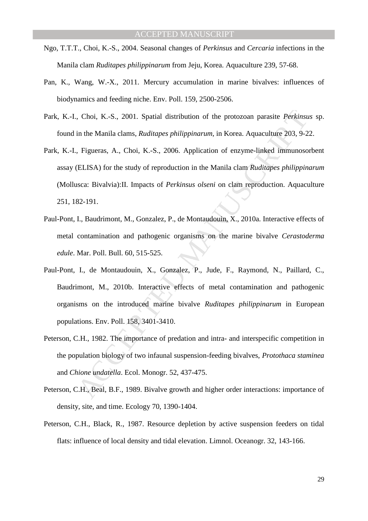- Ngo, T.T.T., Choi, K.-S., 2004. Seasonal changes of *Perkinsus* and *Cercaria* infections in the Manila clam *Ruditapes philippinarum* from Jeju, Korea. Aquaculture 239, 57-68.
- Pan, K., Wang, W.-X., 2011. Mercury accumulation in marine bivalves: influences of biodynamics and feeding niche. Env. Poll. 159, 2500-2506.
- Park, K.-I., Choi, K.-S., 2001. Spatial distribution of the protozoan parasite *Perkinsus* sp. found in the Manila clams, *Ruditapes philippinarum,* in Korea. Aquaculture 203, 9-22.
- Park, K.-I., Figueras, A., Choi, K.-S., 2006. Application of enzyme-linked immunosorbent assay (ELISA) for the study of reproduction in the Manila clam *Ruditapes philippinarum*  (Mollusca: Bivalvia):II. Impacts of *Perkinsus olseni* on clam reproduction. Aquaculture 251, 182-191.
- Paul-Pont, I., Baudrimont, M., Gonzalez, P., de Montaudouin, X., 2010a. Interactive effects of metal contamination and pathogenic organisms on the marine bivalve *Cerastoderma edule*. Mar. Poll. Bull. 60, 515-525.
- , Choi, K.-S., 2001. Spatial distribution of the protozoan parasite *Perkinsia*<br>in the Manila clams, *Ruditapes philippinarum*, in Korea. Aquaculture 203, 9-2<br>Figueras, A., Choi, K.-S., 2006. Application of enzyme-linked i Paul-Pont, I., de Montaudouin, X., Gonzalez, P., Jude, F., Raymond, N., Paillard, C., Baudrimont, M., 2010b. Interactive effects of metal contamination and pathogenic organisms on the introduced marine bivalve *Ruditapes philippinarum* in European populations. Env. Poll. 158, 3401-3410.
- Peterson, C.H., 1982. The importance of predation and intra- and interspecific competition in the population biology of two infaunal suspension-feeding bivalves, *Protothaca staminea*  and *Chione undatella*. Ecol. Monogr. 52, 437-475.
- Peterson, C.H., Beal, B.F., 1989. Bivalve growth and higher order interactions: importance of density, site, and time. Ecology 70, 1390-1404.
- Peterson, C.H., Black, R., 1987. Resource depletion by active suspension feeders on tidal flats: influence of local density and tidal elevation. Limnol. Oceanogr. 32, 143-166.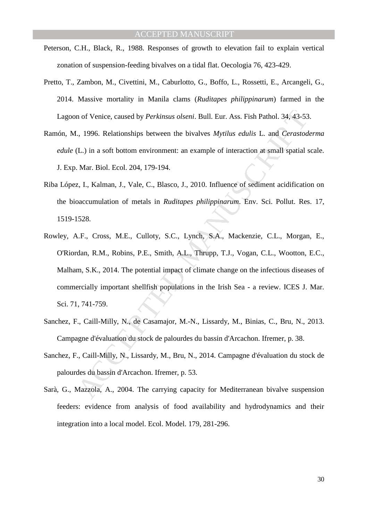- Peterson, C.H., Black, R., 1988. Responses of growth to elevation fail to explain vertical zonation of suspension-feeding bivalves on a tidal flat. Oecologia 76, 423-429.
- Pretto, T., Zambon, M., Civettini, M., Caburlotto, G., Boffo, L., Rossetti, E., Arcangeli, G., 2014. Massive mortality in Manila clams (*Ruditapes philippinarum*) farmed in the Lagoon of Venice, caused by *Perkinsus olseni*. Bull. Eur. Ass. Fish Pathol. 34, 43-53.
- Ramón, M., 1996. Relationships between the bivalves *Mytilus edulis* L. and *Cerastoderma edule* (L.) in a soft bottom environment: an example of interaction at small spatial scale. J. Exp. Mar. Biol. Ecol. 204, 179-194.
- Riba López, I., Kalman, J., Vale, C., Blasco, J., 2010. Influence of sediment acidification on the bioaccumulation of metals in *Ruditapes philippinarum*. Env. Sci. Pollut. Res. 17, 1519-1528.
- n of Venice, caused by *Perkinsus olseni*. Bull. Eur. Ass. Fish Pathol. 34, 43-53<br>
., 1996. Relationships between the bivalves *Mytilus edulis* L. and *Cerastod*<br>
L.) in a soft bottom environment: an example of interaction Rowley, A.F., Cross, M.E., Culloty, S.C., Lynch, S.A., Mackenzie, C.L., Morgan, E., O'Riordan, R.M., Robins, P.E., Smith, A.L., Thrupp, T.J., Vogan, C.L., Wootton, E.C., Malham, S.K., 2014. The potential impact of climate change on the infectious diseases of commercially important shellfish populations in the Irish Sea - a review. ICES J. Mar. Sci. 71, 741-759.
- Sanchez, F., Caill-Milly, N., de Casamajor, M.-N., Lissardy, M., Binias, C., Bru, N., 2013. Campagne d'évaluation du stock de palourdes du bassin d'Arcachon. Ifremer, p. 38.
- Sanchez, F., Caill-Milly, N., Lissardy, M., Bru, N., 2014. Campagne d'évaluation du stock de palourdes du bassin d'Arcachon. Ifremer, p. 53.
- Sarà, G., Mazzola, A., 2004. The carrying capacity for Mediterranean bivalve suspension feeders: evidence from analysis of food availability and hydrodynamics and their integration into a local model. Ecol. Model. 179, 281-296.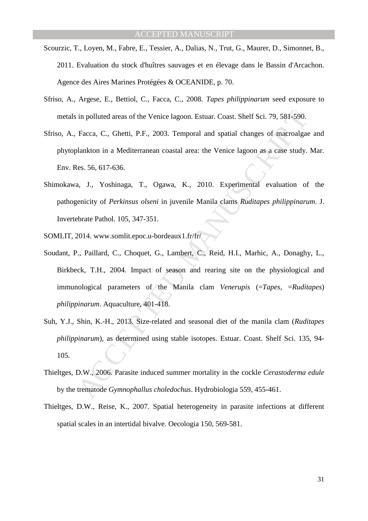- Scourzic, T., Loyen, M., Fabre, E., Tessier, A., Dalias, N., Trut, G., Maurer, D., Simonnet, B., 2011. Evaluation du stock d'huîtres sauvages et en élevage dans le Bassin d'Arcachon. Agence des Aires Marines Protégées & OCEANIDE, p. 70.
- Sfriso, A., Argese, E., Bettiol, C., Facca, C., 2008. *Tapes philippinarum* seed exposure to metals in polluted areas of the Venice lagoon. Estuar. Coast. Shelf Sci. 79, 581-590.
- Sfriso, A., Facca, C., Ghetti, P.F., 2003. Temporal and spatial changes of macroalgae and phytoplankton in a Mediterranean coastal area: the Venice lagoon as a case study. Mar. Env. Res. 56, 617-636.
- Shimokawa, J., Yoshinaga, T., Ogawa, K., 2010. Experimental evaluation of the pathogenicity of *Perkinsus olseni* in juvenile Manila clams *Ruditapes philippinarum*. J. Invertebrate Pathol. 105, 347-351.
- SOMLIT, 2014. www.somlit.epoc.u-bordeaux1.fr/fr/
- in polluted areas of the Venice lagoon. Estuar. Coast. Shelf Sci. 79, 581-590.<br>Facca, C., Ghetti, P.F., 2003. Temporal and spatial changes of macroalgadankton in a Mediterranean coastal area: the Venice lagoon as a case st Soudant, P., Paillard, C., Choquet, G., Lambert, C., Reid, H.I., Marhic, A., Donaghy, L., Birkbeck, T.H., 2004. Impact of season and rearing site on the physiological and immunological parameters of the Manila clam *Venerupis* (=*Tapes*, =*Ruditapes*) *philippinarum*. Aquaculture, 401-418.
- Suh, Y.J., Shin, K.-H., 2013. Size-related and seasonal diet of the manila clam (*Ruditapes philippinarum*), as determined using stable isotopes. Estuar. Coast. Shelf Sci. 135, 94- 105.
- Thieltges, D.W., 2006. Parasite induced summer mortality in the cockle *Cerastoderma edule* by the trematode *Gymnophallus choledochus*. Hydrobiologia 559, 455-461.
- Thieltges, D.W., Reise, K., 2007. Spatial heterogeneity in parasite infections at different spatial scales in an intertidal bivalve. Oecologia 150, 569-581.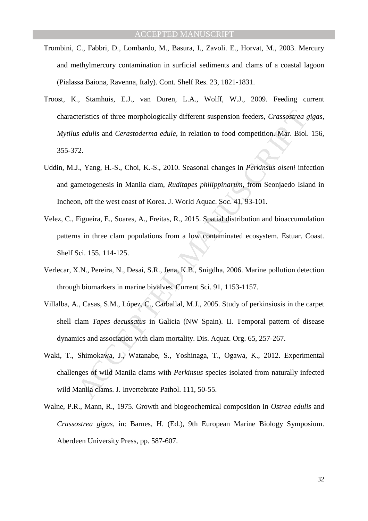- Trombini, C., Fabbri, D., Lombardo, M., Basura, I., Zavoli. E., Horvat, M., 2003. Mercury and methylmercury contamination in surficial sediments and clams of a coastal lagoon (Pialassa Baiona, Ravenna, Italy). Cont. Shelf Res. 23, 1821-1831.
- teristics of three morphologically different suspension feeders, *Crassostrea a*<br>*s edulis* and *Cerastoderma edule*, in relation to food competition. Mar. Biol.<br>2.<br>7. Vang, H.-S., Choi, K.-S., 2010. Seasonal changes in *P* Troost, K., Stamhuis, E.J., van Duren, L.A., Wolff, W.J., 2009. Feeding current characteristics of three morphologically different suspension feeders, *Crassostrea gigas*, *Mytilus edulis* and *Cerastoderma edule*, in relation to food competition. Mar. Biol. 156, 355-372.
- Uddin, M.J., Yang, H.-S., Choi, K.-S., 2010. Seasonal changes in *Perkinsus olseni* infection and gametogenesis in Manila clam, *Ruditapes philippinarum*, from Seonjaedo Island in Incheon, off the west coast of Korea. J. World Aquac. Soc. 41, 93-101.
- Velez, C., Figueira, E., Soares, A., Freitas, R., 2015. Spatial distribution and bioaccumulation patterns in three clam populations from a low contaminated ecosystem. Estuar. Coast. Shelf Sci. 155, 114-125.
- Verlecar, X.N., Pereira, N., Desai, S.R., Jena, K.B., Snigdha, 2006. Marine pollution detection through biomarkers in marine bivalves. Current Sci. 91, 1153-1157.
- Villalba, A., Casas, S.M., López, C., Carballal, M.J., 2005. Study of perkinsiosis in the carpet shell clam *Tapes decussatus* in Galicia (NW Spain). II. Temporal pattern of disease dynamics and association with clam mortality. Dis. Aquat. Org. 65, 257-267.
- Waki, T., Shimokawa, J., Watanabe, S., Yoshinaga, T., Ogawa, K., 2012. Experimental challenges of wild Manila clams with *Perkinsus* species isolated from naturally infected wild Manila clams. J. Invertebrate Pathol. 111, 50-55.
- Walne, P.R., Mann, R., 1975. Growth and biogeochemical composition in *Ostrea edulis* and *Crassostrea gigas*, in: Barnes, H. (Ed.), 9th European Marine Biology Symposium. Aberdeen University Press, pp. 587-607.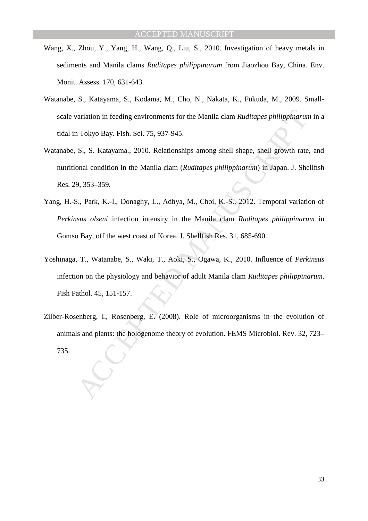- Wang, X., Zhou, Y., Yang, H., Wang, Q., Liu, S., 2010. Investigation of heavy metals in sediments and Manila clams *Ruditapes philippinarum* from Jiaozhou Bay, China. Env. Monit. Assess. 170, 631-643.
- Watanabe, S., Katayama, S., Kodama, M., Cho, N., Nakata, K., Fukuda, M., 2009. Smallscale variation in feeding environments for the Manila clam *Ruditapes philippinarum* in a tidal in Tokyo Bay. Fish. Sci. 75, 937-945.
- Watanabe, S., S. Katayama., 2010. Relationships among shell shape, shell growth rate, and nutritional condition in the Manila clam (*Ruditapes philippinarum*) in Japan. J. Shellfish Res. 29, 353–359.
- Yang, H.-S., Park, K.-I., Donaghy, L., Adhya, M., Choi, K.-S., 2012. Temporal variation of *Perkinsus olseni* infection intensity in the Manila clam *Ruditapes philippinarum* in Gomso Bay, off the west coast of Korea. J. Shellfish Res. 31, 685-690.
- rariation in feeding environments for the Manila clam *Ruditapes philippinarun*<br>Tokyo Bay. Fish. Sci. 75, 937-945.<br>
S., S. Katayama., 2010. Relationships among shell shape, shell growth rate<br>
onal condition in the Manila c Yoshinaga, T., Watanabe, S., Waki, T., Aoki, S., Ogawa, K., 2010. Influence of *Perkinsus*  infection on the physiology and behavior of adult Manila clam *Ruditapes philippinarum*. Fish Pathol. 45, 151-157.
- Zilber-Rosenberg, I., Rosenberg, E. (2008). Role of microorganisms in the evolution of animals and plants: the hologenome theory of evolution. FEMS Microbiol. Rev. 32, 723– 735.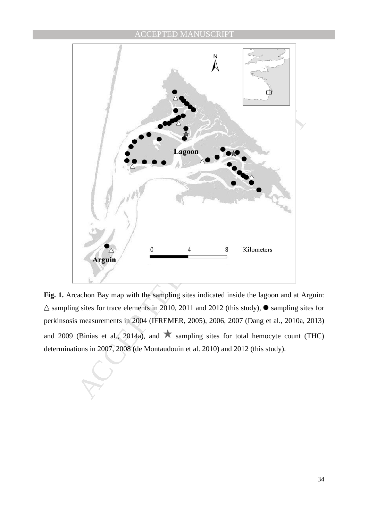

Fig. 1. Arcachon Bay map with the sampling sites indicated inside the lagoon and at Arguin:  $\triangle$  sampling sites for trace elements in 2010, 2011 and 2012 (this study),  $\bullet$  sampling sites for perkinsosis measurements in 2004 (IFREMER, 2005), 2006, 2007 (Dang et al., 2010a, 2013) and 2009 (Binias et al., 2014a), and  $\star$  sampling sites for total hemocyte count (THC) determinations in 2007, 2008 (de Montaudouin et al. 2010) and 2012 (this study).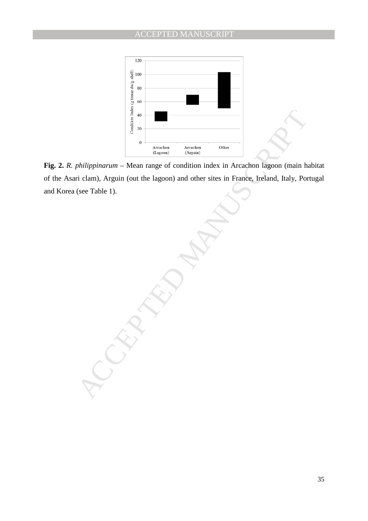

**Fig. 2.** *R. philippinarum –* Mean range of condition index in Arcachon lagoon (main habitat of the Asari clam), Arguin (out the lagoon) and other sites in France, Ireland, Italy, Portugal and Korea (see Table 1).

Arcadem (Arcadem Arcadem Contribution and the state of condition index in Arcadem (hain), Arguin (out the lagoon) and other sites in France, Ireland, Italy, Port (see Table 1).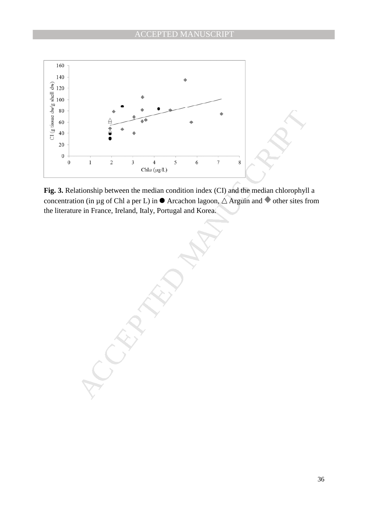

**Fig. 3.** Relationship between the median condition index (CI) and the median chlorophyll a concentration (in µg of Chl a per L) in  $\bullet$  Arcachon lagoon,  $\triangle$  Arguin and  $\bullet$  other sites from the literature in France, Ireland, Italy, Portugal and Korea.

A<br>  $\frac{1}{2}$ <br>  $\frac{1}{\cosh a}$ <br>  $\frac{1}{\cosh a}$ <br>  $\frac{1}{\cosh a}$ <br>  $\frac{1}{\cosh a}$ <br>  $\frac{1}{\cosh a}$ <br>  $\frac{1}{\cosh a}$ <br>  $\frac{1}{\cosh a}$ <br>  $\frac{1}{\cosh a}$ <br>  $\frac{1}{\cosh a}$ <br>  $\frac{1}{\cosh a}$ <br>  $\frac{1}{\cosh a}$ <br>  $\frac{1}{\cosh a}$ <br>  $\frac{1}{\cosh a}$ <br>  $\frac{1}{\cosh a}$ <br>  $\frac{1}{\cosh a}$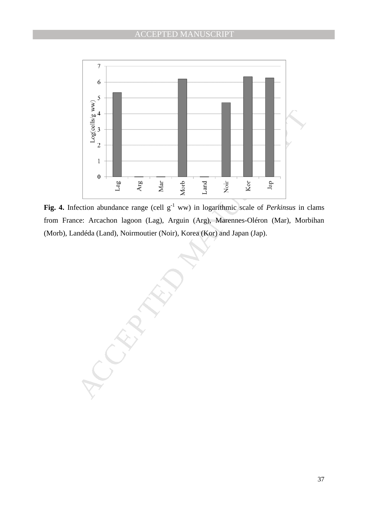

Fig. 4. Infection abundance range (cell  $g^{-1}$  ww) in logarithmic scale of *Perkinsus* in clams from France: Arcachon lagoon (Lag), Arguin (Arg), Marennes-Oléron (Mar), Morbihan (Morb), Landéda (Land), Noirmoutier (Noir), Korea (Kor) and Japan (Jap).

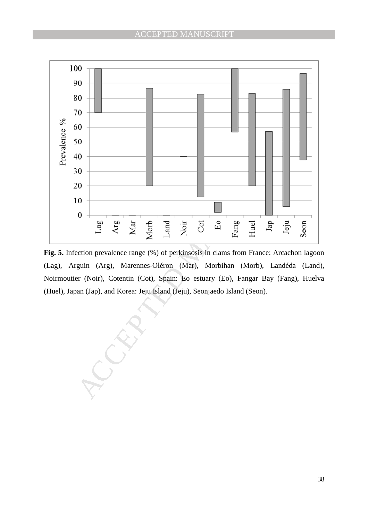

**Fig. 5.** Infection prevalence range (%) of perkinsosis in clams from France: Arcachon lagoon (Lag), Arguin (Arg), Marennes-Oléron (Mar), Morbihan (Morb), Landéda (Land), Noirmoutier (Noir), Cotentin (Cot), Spain: Eo estuary (Eo), Fangar Bay (Fang), Huelva (Huel), Japan (Jap), and Korea: Jeju Island (Jeju), Seonjaedo Island (Seon).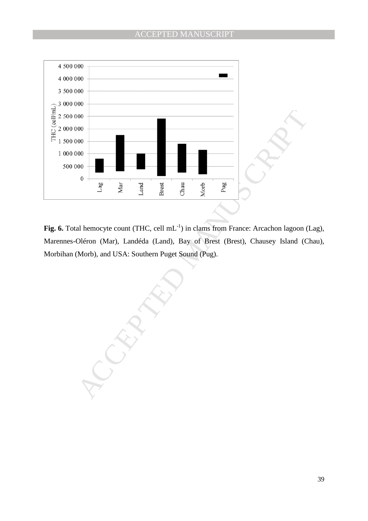

Fig. 6. Total hemocyte count (THC, cell mL<sup>-1</sup>) in clams from France: Arcachon lagoon (Lag), Marennes-Oléron (Mar), Landéda (Land), Bay of Brest (Brest), Chausey Island (Chau), Morbihan (Morb), and USA: Southern Puget Sound (Pug).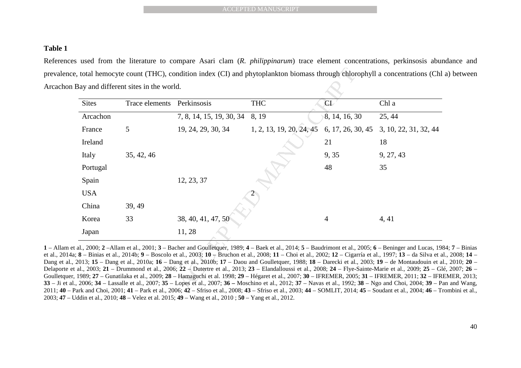### **Table 1**

References used from the literature to compare Asari clam (*R. philippinarum*) trace element concentrations, perkinsosis abundance and prevalence, total hemocyte count (THC), condition index (CI) and phytoplankton biomass through chlorophyll a concentrations (Chl a) between Arcachon Bay and different sites in the world.

|              |                                                         |                                                                                                                                                                                                                                                                                                                                                                                                                                                                                                                                                                                                                                                                                                                                                                                                                                                                                                            | <b>ACCEPTED MANUSCRIPT</b>                                                                                                                                 |                   |                       |
|--------------|---------------------------------------------------------|------------------------------------------------------------------------------------------------------------------------------------------------------------------------------------------------------------------------------------------------------------------------------------------------------------------------------------------------------------------------------------------------------------------------------------------------------------------------------------------------------------------------------------------------------------------------------------------------------------------------------------------------------------------------------------------------------------------------------------------------------------------------------------------------------------------------------------------------------------------------------------------------------------|------------------------------------------------------------------------------------------------------------------------------------------------------------|-------------------|-----------------------|
|              |                                                         | used from the literature to compare Asari clam (R. <i>philippinarum</i> ) trace element concentrations, perkinsosis ab<br>, total hemocyte count (THC), condition index (CI) and phytoplankton biomass through chlorophyll a concentrations (Cl                                                                                                                                                                                                                                                                                                                                                                                                                                                                                                                                                                                                                                                            |                                                                                                                                                            |                   |                       |
| <b>Sites</b> | Bay and different sites in the world.<br>Trace elements | Perkinsosis                                                                                                                                                                                                                                                                                                                                                                                                                                                                                                                                                                                                                                                                                                                                                                                                                                                                                                | <b>THC</b>                                                                                                                                                 | CI                | Chl a                 |
| Arcachon     |                                                         | 7, 8, 14, 15, 19, 30, 34                                                                                                                                                                                                                                                                                                                                                                                                                                                                                                                                                                                                                                                                                                                                                                                                                                                                                   | 8, 19                                                                                                                                                      | 8, 14, 16, 30     | 25, 44                |
| France       | 5                                                       | 19, 24, 29, 30, 34                                                                                                                                                                                                                                                                                                                                                                                                                                                                                                                                                                                                                                                                                                                                                                                                                                                                                         | 1, 2, 13, 19, 20, 24, 45                                                                                                                                   | 6, 17, 26, 30, 45 | 3, 10, 22, 31, 32, 44 |
| Ireland      |                                                         |                                                                                                                                                                                                                                                                                                                                                                                                                                                                                                                                                                                                                                                                                                                                                                                                                                                                                                            |                                                                                                                                                            | 21                | 18                    |
| Italy        | 35, 42, 46                                              |                                                                                                                                                                                                                                                                                                                                                                                                                                                                                                                                                                                                                                                                                                                                                                                                                                                                                                            |                                                                                                                                                            | 9, 35             | 9, 27, 43             |
| Portugal     |                                                         |                                                                                                                                                                                                                                                                                                                                                                                                                                                                                                                                                                                                                                                                                                                                                                                                                                                                                                            |                                                                                                                                                            | 48                | 35                    |
| Spain        |                                                         | 12, 23, 37                                                                                                                                                                                                                                                                                                                                                                                                                                                                                                                                                                                                                                                                                                                                                                                                                                                                                                 |                                                                                                                                                            |                   |                       |
| <b>USA</b>   |                                                         |                                                                                                                                                                                                                                                                                                                                                                                                                                                                                                                                                                                                                                                                                                                                                                                                                                                                                                            |                                                                                                                                                            |                   |                       |
| China        | 39, 49                                                  |                                                                                                                                                                                                                                                                                                                                                                                                                                                                                                                                                                                                                                                                                                                                                                                                                                                                                                            |                                                                                                                                                            |                   |                       |
| Korea        | 33                                                      | 38, 40, 41, 47, 50                                                                                                                                                                                                                                                                                                                                                                                                                                                                                                                                                                                                                                                                                                                                                                                                                                                                                         |                                                                                                                                                            | 4                 | 4, 41                 |
| Japan        |                                                         | 11, 28                                                                                                                                                                                                                                                                                                                                                                                                                                                                                                                                                                                                                                                                                                                                                                                                                                                                                                     |                                                                                                                                                            |                   |                       |
|              |                                                         | al., 2000; 2 -Allam et al., 2001; 3 - Bacher and Goulletquer, 1989; 4 - Baek et al., 2014; 5 - Baudrimont et al., 2005; 6 - Beninger and Lucas, 1<br>8 - Binias et al., 2014b; 9 - Boscolo et al., 2003; 10 + Bruchon et al., 2008; 11 - Choi et al., 2002; 12 - Cigarría et al., 1997; 13 - da Silva et<br>2013; 15 - Dang et al., 2010a; 16 - Dang et al., 2010b; 17 - Daou and Goulletquer, 1988; 18 - Darecki et al., 2003; 19 - de Montaudouin et<br>al., 2003; 21 – Drummond et al., 2006; 22 – Dutertre et al., 2013; 23 – Elandalloussi et al., 2008; 24 – Flye-Sainte-Marie et al., 2009; 25 – 0<br>1989; 27 – Gunatilaka et al., 2009; 28 – Hamaguchi et al. 1998; 29 – Hégaret et al., 2007; 30 – IFREMER, 2005; 31 – IFREMER, 2011; 32 – IF<br>, 2006; 34 – Lassalle et al., 2007; 35 – Lopes et al., 2007; 36 – Moschino et al., 2012; 37 – Navas et al., 1992; 38 – Ngo and Choi, 2004; 39 – | ark and Choi 2001; $41 - $ Park et al 2006; $42 - $ Sfriso et al 2008; $43 - $ Sfriso et al 2003; $44 - $ SOMI IT 2014; $45 - $ Soudant et al 2004; $46 -$ |                   |                       |

**1** – Allam et al., 2000; **2** –Allam et al., 2001; **3** – Bacher and Goulletquer, 1989; **4** – Baek et al., 2014; **5** – Baudrimont et al., 2005; **6** – Beninger and Lucas, 1984; **7** – Binias et al., 2014a; 8 – Binias et al., 2014b; 9 – Boscolo et al., 2003; 10 – Bruchon et al., 2008; 11 – Choi et al., 2002; 12 – Cigarría et al., 1997; 13 – da Silva et al., 2008; 14 – Dang et al., 2013; **15** – Dang et al., 2010a; **16** – Dang et al., 2010b; **17** – Daou and Goulletquer, 1988; **18** – Darecki et al., 2003; **19** – de Montaudouin et al., 2010; **20** – Delaporte et al., 2003; **21** – Drummond et al., 2006; **22** – Dutertre et al., 2013; **23** – Elandalloussi et al., 2008; **24** – Flye-Sainte-Marie et al., 2009; **25** – Glé, 2007; **26** – Goulletquer, 1989; **27** – Gunatilaka et al., 2009; **28** – Hamaguchi et al. 1998; **29** – Hégaret et al., 2007; **30** – IFREMER, 2005; **31** – IFREMER, 2011; **32** – IFREMER, 2013; **33** – Ji et al., 2006; **34** – Lassalle et al., 2007; **35** – Lopes et al., 2007; **36 –** Moschino et al., 2012; **37** – Navas et al., 1992; **38** – Ngo and Choi, 2004; **39** – Pan and Wang, 2011; **40** – Park and Choi, 2001; **41** – Park et al., 2006; **42** – Sfriso et al., 2008; **43** – Sfriso et al., 2003; **44** – SOMLIT, 2014; **45** – Soudant et al., 2004; **46** – Trombini et al., 2003; **47** – Uddin et al., 2010; **48** – Velez et al. 2015; **49** – Wang et al., 2010 ; **50** – Yang et al., 2012.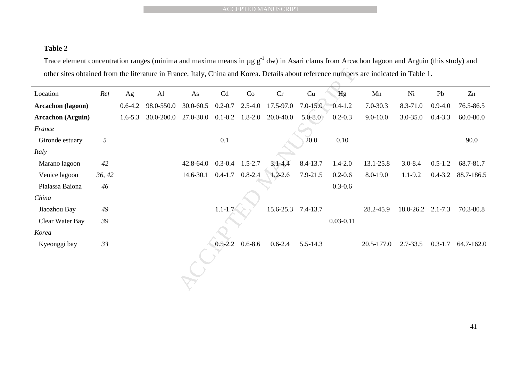## **Table 2**

|                                                                                                                                                     |        |             |            | <b>ACCEPTED MANUSCRIPT</b> |             |             |                    |              |               |              |                   |             |               |
|-----------------------------------------------------------------------------------------------------------------------------------------------------|--------|-------------|------------|----------------------------|-------------|-------------|--------------------|--------------|---------------|--------------|-------------------|-------------|---------------|
|                                                                                                                                                     |        |             |            |                            |             |             |                    |              |               |              |                   |             |               |
|                                                                                                                                                     |        |             |            |                            |             |             |                    |              |               |              |                   |             |               |
| Table 2                                                                                                                                             |        |             |            |                            |             |             |                    |              |               |              |                   |             |               |
| Trace element concentration ranges (minima and maxima means in $\mu$ g $g^{-1}$ dw) in Asari clams from Arcachon lagoon and Arguin (this study) and |        |             |            |                            |             |             |                    |              |               |              |                   |             |               |
| other sites obtained from the literature in France, Italy, China and Korea. Details about reference numbers are indicated in Table 1.               |        |             |            |                            |             |             |                    |              |               |              |                   |             |               |
| Location                                                                                                                                            | Ref    | Ag          | AI         | As                         | Cd          | Co          | Cr                 | Cu           | Hg            | Mn           | Ni                | Pb          | Zn            |
| Arcachon (lagoon)                                                                                                                                   |        | $0.6 - 4.2$ | 98.0-550.0 | 30.0-60.5                  | $0.2 - 0.7$ | $2.5 - 4.0$ | 17.5-97.0          | $7.0 - 15.0$ | $0.4 - 1.2$   | 7.0-30.3     | 8.3-71.0          | $0.9 - 4.0$ | 76.5-86.5     |
|                                                                                                                                                     |        |             |            |                            |             |             |                    |              |               |              |                   |             |               |
| <b>Arcachon</b> (Arguin)                                                                                                                            |        | $1.6 - 5.3$ | 30.0-200.0 | 27.0-30.0                  | $0.1 - 0.2$ | $1.8 - 2.0$ | 20.0-40.0          | $5.0 - 8.0$  | $0.2 - 0.3$   | $9.0 - 10.0$ | $3.0 - 35.0$      | $0.4 - 3.3$ | $60.0 - 80.0$ |
| France                                                                                                                                              |        |             |            |                            |             |             |                    |              |               |              |                   |             |               |
| Gironde estuary                                                                                                                                     | 5      |             |            |                            | 0.1         |             |                    | 20.0         | 0.10          |              |                   |             | 90.0          |
| Italy                                                                                                                                               |        |             |            |                            |             |             |                    |              |               |              |                   |             |               |
| Marano lagoon                                                                                                                                       | 42     |             |            | 42.8-64.0                  | $0.3 - 0.4$ | $1.5 - 2.7$ | $3.1 - 4.4$        | 8.4-13.7     | $1.4 - 2.0$   | 13.1-25.8    | $3.0 - 8.4$       | $0.5 - 1.2$ | 68.7-81.7     |
| Venice lagoon                                                                                                                                       | 36, 42 |             |            | 14.6-30.1                  | $0.4 - 1.7$ | $0.8 - 2.4$ | $1.2 - 2.6$        | 7.9-21.5     | $0.2 - 0.6$   | 8.0-19.0     | $1.1 - 9.2$       | $0.4 - 3.2$ | 88.7-186.5    |
| Pialassa Baiona                                                                                                                                     | 46     |             |            |                            |             |             |                    |              | $0.3 - 0.6$   |              |                   |             |               |
| China                                                                                                                                               |        |             |            |                            |             |             |                    |              |               |              |                   |             |               |
| Jiaozhou Bay                                                                                                                                        | 49     |             |            |                            | $1.1 - 1.7$ |             | 15.6-25.3 7.4-13.7 |              |               | 28.2-45.9    | 18.0-26.2 2.1-7.3 |             | 70.3-80.8     |
| Clear Water Bay                                                                                                                                     | 39     |             |            |                            |             |             |                    |              | $0.03 - 0.11$ |              |                   |             |               |
| Korea                                                                                                                                               |        |             |            |                            |             |             |                    |              |               |              |                   |             |               |
| Kyeonggi bay                                                                                                                                        | 33     |             |            |                            | $0.5 - 2.2$ | $0.6 - 8.6$ | $0.6 - 2.4$        | 5.5-14.3     |               | 20.5-177.0   | 2.7-33.5          | $0.3 - 1.7$ | 64.7-162.0    |
|                                                                                                                                                     |        |             |            |                            |             |             |                    |              |               |              |                   |             |               |
|                                                                                                                                                     |        |             |            |                            |             |             |                    |              |               |              |                   |             |               |
|                                                                                                                                                     |        |             |            |                            |             |             |                    |              |               |              |                   |             |               |
|                                                                                                                                                     |        |             |            |                            |             |             |                    |              |               |              |                   |             |               |